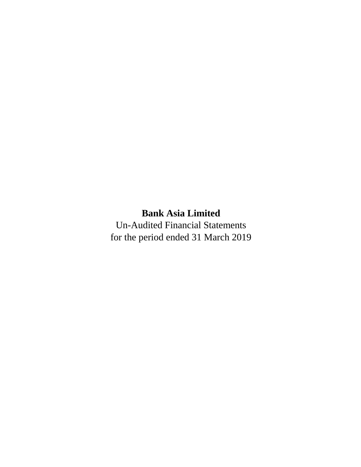# **Bank Asia Limited**

Un-Audited Financial Statements for the period ended 31 March 2019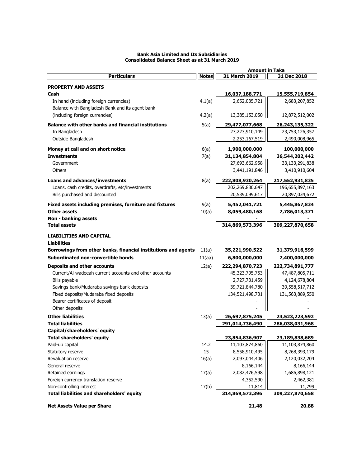|                                                                                |              | <b>Amount in Taka</b> |                   |
|--------------------------------------------------------------------------------|--------------|-----------------------|-------------------|
| <b>Particulars</b>                                                             | <b>Notes</b> | 31 March 2019         | 31 Dec 2018       |
| <b>PROPERTY AND ASSETS</b>                                                     |              |                       |                   |
| Cash                                                                           |              | 16,037,188,771        | 15,555,719,854    |
| In hand (including foreign currencies)                                         | 4.1(a)       | 2,652,035,721         | 2,683,207,852     |
| Balance with Bangladesh Bank and its agent bank                                |              |                       |                   |
| (including foreign currencies)                                                 |              |                       |                   |
|                                                                                | 4.2(a)       | 13,385,153,050        | 12,872,512,002    |
| <b>Balance with other banks and financial institutions</b>                     | 5(a)         | 29,477,077,668        | 26, 243, 135, 322 |
| In Bangladesh                                                                  |              | 27,223,910,149        | 23,753,126,357    |
| Outside Bangladesh                                                             |              | 2,253,167,519         | 2,490,008,965     |
| Money at call and on short notice                                              | 6(a)         | 1,900,000,000         | 100,000,000       |
| <b>Investments</b>                                                             | 7(a)         | 31,134,854,804        | 36,544,202,442    |
| Government                                                                     |              | 27,693,662,958        | 33,133,291,838    |
| Others                                                                         |              | 3,441,191,846         | 3,410,910,604     |
|                                                                                |              |                       |                   |
| <b>Loans and advances/investments</b>                                          | 8(a)         | 222,808,930,264       | 217,552,931,835   |
| Loans, cash credits, overdrafts, etc/investments                               |              | 202,269,830,647       | 196,655,897,163   |
| Bills purchased and discounted                                                 |              | 20,539,099,617        | 20,897,034,672    |
|                                                                                | 9(a)         | 5,452,041,721         |                   |
| Fixed assets including premises, furniture and fixtures<br><b>Other assets</b> |              |                       | 5,445,867,834     |
|                                                                                | 10(a)        | 8,059,480,168         | 7,786,013,371     |
| Non - banking assets<br><b>Total assets</b>                                    |              | 314,869,573,396       | 309,227,870,658   |
|                                                                                |              |                       |                   |
| <b>LIABILITIES AND CAPITAL</b>                                                 |              |                       |                   |
| <b>Liabilities</b>                                                             |              |                       |                   |
| Borrowings from other banks, financial institutions and agents                 | 11(a)        | 35,221,990,522        | 31,379,916,599    |
| Subordinated non-convertible bonds                                             | 11(aa)       | 6,800,000,000         | 7,400,000,000     |
| <b>Deposits and other accounts</b>                                             | 12(a)        | 222,294,870,723       | 222,734,891,777   |
| Current/AI-wadeeah current accounts and other accounts                         |              | 45,323,795,753        | 47,487,805,711    |
| Bills payable                                                                  |              | 2,727,731,459         | 4,124,678,804     |
| Savings bank/Mudaraba savings bank deposits                                    |              | 39,721,844,780        | 39,558,517,712    |
| Fixed deposits/Mudaraba fixed deposits                                         |              | 134,521,498,731       | 131,563,889,550   |
| Bearer certificates of deposit                                                 |              |                       |                   |
| Other deposits                                                                 |              |                       |                   |
|                                                                                |              |                       |                   |
| <b>Other liabilities</b>                                                       | 13(a)        | 26,697,875,245        | 24,523,223,592    |
| <b>Total liabilities</b>                                                       |              | 291,014,736,490       | 286,038,031,968   |
| Capital/shareholders' equity                                                   |              |                       |                   |
| <b>Total shareholders' equity</b>                                              |              | 23,854,836,907        | 23,189,838,689    |
| Paid-up capital                                                                | 14.2         | 11,103,874,860        | 11,103,874,860    |
| Statutory reserve                                                              | 15           | 8,558,910,495         | 8,268,393,179     |
| Revaluation reserve                                                            | 16(a)        | 2,097,044,406         | 2,120,032,204     |
| General reserve                                                                |              | 8,166,144             | 8,166,144         |
| Retained earnings                                                              | 17(a)        | 2,082,476,598         | 1,686,898,121     |
| Foreign currency translation reserve                                           |              | 4,352,590             | 2,462,381         |
| Non-controlling interest                                                       | 17(b)        | 11,814                | 11,799            |
| Total liabilities and shareholders' equity                                     |              | 314,869,573,396       | 309,227,870,658   |
| <b>Net Assets Value per Share</b>                                              |              | 21.48                 | 20.88             |

### **Bank Asia Limited and Its Subsidiaries Consolidated Balance Sheet as at 31 March 2019**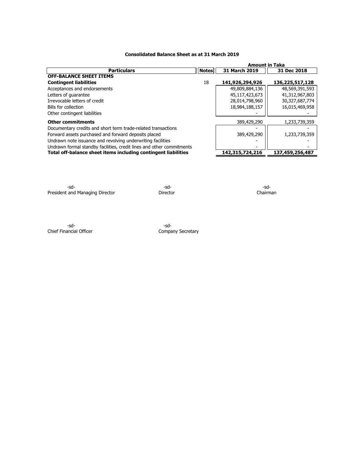### **Consolidated Balance Sheet as at 31 March 2019**

|                                                                       |              | <b>Amount in Taka</b> |                 |
|-----------------------------------------------------------------------|--------------|-----------------------|-----------------|
| <b>Particulars</b>                                                    | <b>Notes</b> | <b>31 March 2019</b>  | 31 Dec 2018     |
| <b>OFF-BALANCE SHEET ITEMS</b>                                        |              |                       |                 |
| <b>Contingent liabilities</b>                                         | 18           | 141,926,294,926       | 136,225,517,128 |
| Acceptances and endorsements                                          |              | 49,809,884,136        | 48,569,391,593  |
| Letters of quarantee                                                  |              | 45,117,423,673        | 41,312,967,803  |
| Irrevocable letters of credit                                         |              | 28,014,798,960        | 30,327,687,774  |
| Bills for collection                                                  |              | 18,984,188,157        | 16,015,469,958  |
| Other contingent liabilities                                          |              |                       |                 |
| <b>Other commitments</b>                                              |              | 389,429,290           | 1,233,739,359   |
| Documentary credits and short term trade-related transactions         |              |                       |                 |
| Forward assets purchased and forward deposits placed                  |              | 389,429,290           | 1,233,739,359   |
| Undrawn note issuance and revolving underwriting facilities           |              |                       |                 |
| Undrawn formal standby facilities, credit lines and other commitments |              |                       |                 |
| Total off-balance sheet items including contingent liabilities        |              | 142,315,724,216       | 137,459,256,487 |

-sd- -sd- -sd-President and Managing Director **Director** Director Director Chairman

-sd- -sd-Chief Financial Officer **Company Secretary**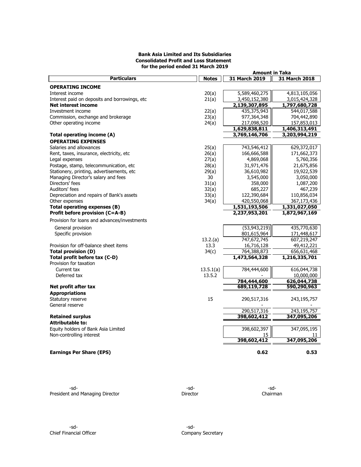### **Bank Asia Limited and Its Subsidiaries Consolidated Profit and Loss Statement for the period ended 31 March 2019**

|                                                |              | <b>Amount in Taka</b> |               |
|------------------------------------------------|--------------|-----------------------|---------------|
| <b>Particulars</b>                             | <b>Notes</b> | 31 March 2019         | 31 March 2018 |
| <b>OPERATING INCOME</b>                        |              |                       |               |
| Interest income                                | 20(a)        | 5,589,460,275         | 4,813,105,056 |
| Interest paid on deposits and borrowings, etc. | 21(a)        | 3,450,152,380         | 3,015,424,328 |
| <b>Net interest income</b>                     |              | 2,139,307,895         | 1,797,680,728 |
| Investment income                              | 22(a)        | 435,375,943           | 544,017,588   |
| Commission, exchange and brokerage             | 23(a)        | 977,364,348           | 704,442,890   |
| Other operating income                         | 24(a)        | 217,098,520           | 157,853,013   |
|                                                |              | 1,629,838,811         | 1,406,313,491 |
| Total operating income (A)                     |              | 3,769,146,706         | 3,203,994,219 |
| <b>OPERATING EXPENSES</b>                      |              |                       |               |
|                                                |              |                       |               |
| Salaries and allowances                        | 25(a)        | 743,546,412           | 629,372,017   |
| Rent, taxes, insurance, electricity, etc       | 26(a)        | 166,666,588           | 171,662,373   |
| Legal expenses                                 | 27(a)        | 4,869,068             | 5,760,356     |
| Postage, stamp, telecommunication, etc.        | 28(a)        | 31,971,476            | 21,675,856    |
| Stationery, printing, advertisements, etc      | 29(a)        | 36,610,982            | 19,922,539    |
| Managing Director's salary and fees            | 30           | 3,545,000             | 3,050,000     |
| Directors' fees                                | 31(a)        | 358,000               | 1,087,200     |
| Auditors' fees                                 | 32(a)        | 685,227               | 467,239       |
| Depreciation and repairs of Bank's assets      | 33(a)        | 122,390,684           | 110,856,034   |
| Other expenses                                 | 34(a)        | 420,550,068           | 367,173,436   |
| Total operating expenses (B)                   |              | 1,531,193,506         | 1,331,027,050 |
| Profit before provision (C=A-B)                |              | 2,237,953,201         | 1,872,967,169 |
| Provision for loans and advances/investments   |              |                       |               |
| General provision                              |              | (53, 943, 219)        | 435,770,630   |
| Specific provision                             |              | 801,615,964           | 171,448,617   |
|                                                | 13.2(a)      | 747,672,745           | 607,219,247   |
|                                                |              |                       |               |
| Provision for off-balance sheet items          | 13.3         | 16,716,128            | 49,412,221    |
| <b>Total provision (D)</b>                     | 34(c)        | 764,388,873           | 656,631,468   |
| Total profit before tax (C-D)                  |              | 1,473,564,328         | 1,216,335,701 |
| Provision for taxation                         |              |                       |               |
| Current tax                                    | 13.5.1(a)    | 784,444,600           | 616,044,738   |
| Deferred tax                                   | 13.5.2       |                       | 10,000,000    |
|                                                |              | 784,444,600           | 626,044,738   |
| Net profit after tax                           |              | 689,119,728           | 590,290,963   |
| <b>Appropriations</b>                          |              |                       |               |
| Statutory reserve                              | 15           | 290,517,316           | 243,195,757   |
| General reserve                                |              |                       |               |
|                                                |              | 290,517,316           | 243,195,757   |
| <b>Retained surplus</b>                        |              | 398,602,412           | 347,095,206   |
| <b>Attributable to:</b>                        |              |                       |               |
| Equity holders of Bank Asia Limited            |              | 398,602,397           | 347,095,195   |
| Non-controlling interest                       |              | 15                    | 11            |
|                                                |              | 398,602,412           | 347,095,206   |
|                                                |              |                       |               |
| <b>Earnings Per Share (EPS)</b>                |              | 0.62                  | 0.53          |
|                                                |              |                       |               |

-sd- -sd- -sd-President and Managing Director **Director** Director **Director** Chairman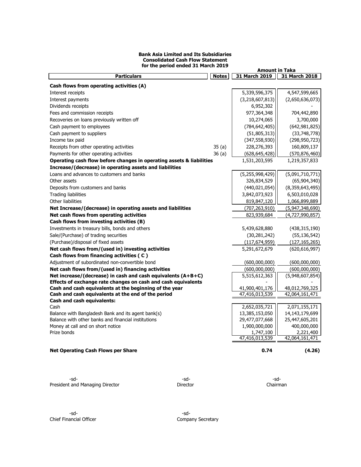### **Bank Asia Limited and Its Subsidiaries Consolidated Cash Flow Statement for the period ended 31 March 2019**

|                                                                      |              | <b>Amount in Taka</b>           |                                    |
|----------------------------------------------------------------------|--------------|---------------------------------|------------------------------------|
| <b>Particulars</b>                                                   | <b>Notes</b> | 31 March 2019                   | 31 March 2018                      |
| Cash flows from operating activities (A)                             |              |                                 |                                    |
| Interest receipts                                                    |              | 5,339,596,375                   | 4,547,599,665                      |
| Interest payments                                                    |              | (3,218,607,813)                 | (2,650,636,073)                    |
| Dividends receipts                                                   |              | 6,952,302                       |                                    |
| Fees and commission receipts                                         |              | 977,364,348                     | 704,442,890                        |
| Recoveries on loans previously written off                           |              | 10,274,065                      | 3,700,000                          |
| Cash payment to employees                                            |              | (784, 642, 405)                 | (642, 981, 825)                    |
| Cash payment to suppliers                                            |              | (51, 805, 313)                  | (33,748,778)                       |
| Income tax paid                                                      |              | (347, 558, 930)                 | (298, 950, 723)                    |
| Receipts from other operating activities                             | 35(a)        | 228,276,393                     | 160,809,137                        |
| Payments for other operating activities                              | 36(a)        | (628, 645, 428)                 | (570, 876, 460)                    |
| Operating cash flow before changes in operating assets & liabilities |              | 1,531,203,595                   | 1,219,357,833                      |
| Increase/(decrease) in operating assets and liabilities              |              |                                 |                                    |
| Loans and advances to customers and banks                            |              | (5,255,998,429)                 | (5,091,710,771)                    |
| Other assets                                                         |              | 326,834,529                     | (65, 904, 340)                     |
| Deposits from customers and banks                                    |              | (440, 021, 054)                 | (8,359,643,495)                    |
| <b>Trading liabilities</b>                                           |              | 3,842,073,923                   | 6,503,010,028                      |
| Other liabilities                                                    |              | 819,847,120                     | 1,066,899,889                      |
| Net Increase/(decrease) in operating assets and liabilities          |              | (707,263,910)                   | (5,947,348,690)                    |
| Net cash flows from operating activities                             |              | 823,939,684                     | (4,727,990,857)                    |
| Cash flows from investing activities (B)                             |              |                                 |                                    |
| Investments in treasury bills, bonds and others                      |              | 5,439,628,880                   | (438, 315, 190)                    |
| Sale/(Purchase) of trading securities                                |              | (30, 281, 242)                  | (55, 136, 542)                     |
| (Purchase)/disposal of fixed assets                                  |              | (117, 674, 959)                 | (127, 165, 265)                    |
| Net cash flows from/(used in) investing activities                   |              | 5,291,672,679                   | (620, 616, 997)                    |
| Cash flows from financing activities (C)                             |              |                                 |                                    |
| Adjustment of subordinated non-convertible bond                      |              | (600,000,000)                   | (600,000,000)                      |
| Net cash flows from/(used in) financing activities                   |              | (600,000,000)                   | (600,000,000)                      |
| Net increase/(decrease) in cash and cash equivalents $(A+B+C)$       |              | 5,515,612,363                   | (5,948,607,854)                    |
| Effects of exchange rate changes on cash and cash equivalents        |              |                                 |                                    |
| Cash and cash equivalents at the beginning of the year               |              | 41,900,401,176                  | 48,012,769,325                     |
| Cash and cash equivalents at the end of the period                   |              | 47,416,013,539                  | 42,064,161,471                     |
| <b>Cash and cash equivalents:</b>                                    |              |                                 |                                    |
| Cash<br>Balance with Bangladesh Bank and its agent bank(s)           |              | 2,652,035,721<br>13,385,153,050 | 2,071,155,171<br>14, 143, 179, 699 |
| Balance with other banks and financial institutions                  |              | 29,477,077,668                  | 25,447,605,201                     |
| Money at call and on short notice                                    |              | 1,900,000,000                   | 400,000,000                        |
| Prize bonds                                                          |              | 1,747,100                       | 2,221,400                          |
|                                                                      |              | 47,416,013,539                  | 42,064,161,471                     |
|                                                                      |              |                                 |                                    |
| <b>Net Operating Cash Flows per Share</b>                            |              | 0.74                            | (4.26)                             |

-sd- -sd- -sd-President and Managing Director **Director** Director **Director** Chairman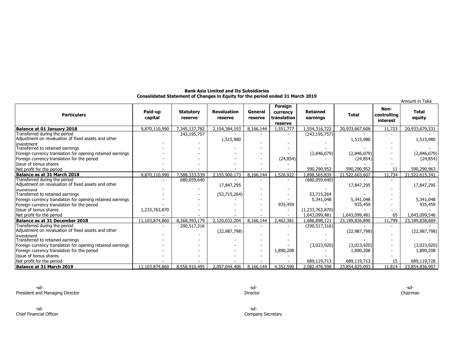| <b>Bank Asia Limited and Its Subsidiaries</b>                                  |  |
|--------------------------------------------------------------------------------|--|
| Consolidated Statement of Changes in Equity for the period ended 31 March 2019 |  |

|                                                                                                    |                    |                             |                               |                    |                                               |                             |                |                                 | Amount in Taka         |
|----------------------------------------------------------------------------------------------------|--------------------|-----------------------------|-------------------------------|--------------------|-----------------------------------------------|-----------------------------|----------------|---------------------------------|------------------------|
| <b>Particulars</b>                                                                                 | Paid-up<br>capital | <b>Statutory</b><br>reserve | <b>Revaluation</b><br>reserve | General<br>reserve | Foreign<br>currency<br>translation<br>reserve | <b>Retained</b><br>earnings | <b>Total</b>   | Non-<br>controlling<br>interest | <b>Total</b><br>equity |
| Balance at 01 January 2018                                                                         | 9.870.110.990      | 7,345,137,782               | 2.154.384.193                 | 8,166,144          | .551.777                                      | .,554,316,722               | 20,933,667,608 | 11,723                          | 20,933,679,331         |
| Transferred during the period<br>Adjustment on revaluation of fixed assets and other<br>investment |                    | 243,195,757                 | 1,515,980                     |                    |                                               | (243, 195, 757)             | 1,515,980      |                                 | 1,515,980              |
| Transferred to retained earnings                                                                   |                    |                             |                               |                    |                                               |                             |                |                                 |                        |
| Foreign currency translation for opening retained earnings                                         |                    |                             |                               |                    |                                               | (2,846,079)                 | (2,846,079)    |                                 | (2,846,079)            |
| Foreign currency translation for the period                                                        |                    |                             |                               |                    | (24, 854)                                     |                             | (24, 854)      |                                 | (24, 854)              |
| Issue of bonus shares                                                                              |                    |                             |                               |                    |                                               |                             |                |                                 |                        |
| Net profit for the period                                                                          |                    |                             |                               |                    |                                               | 590,290,952                 | 590,290,952    | 11                              | 590,290,963            |
| Balance as at 31 March 2018                                                                        | 9.870.110.990      | 7,588,333,539               | 2,155,900,173                 | 8,166,144          | ,526,922                                      | .898.565.839                | 21,522,603,607 | 11,734                          | 21,522,615,341         |
| Transferred during the period<br>Adjustment on revaluation of fixed assets and other               |                    | 680,059,640                 | 17,847,295                    |                    |                                               | (680, 059, 640)             | 17,847,295     |                                 | 17,847,295             |
| investment                                                                                         |                    |                             |                               |                    |                                               |                             |                |                                 |                        |
| Transferred to retained earnings                                                                   |                    |                             | (53,715,264)                  |                    |                                               | 53,715,264                  |                |                                 |                        |
| Foreign currency translation for opening retained earnings                                         |                    |                             |                               |                    |                                               | 5,341,048                   | 5,341,048      |                                 | 5,341,048              |
| Foreign currency translation for the period                                                        |                    |                             |                               |                    | 935,459                                       |                             | 935,459        |                                 | 935,459                |
| Issue of bonus shares                                                                              | 1,233,763,870      |                             |                               |                    |                                               | (1,233,763,870)             |                | 65                              |                        |
| Net profit for the period                                                                          |                    | 8,268,393,179               |                               |                    |                                               | 1,643,099,481               | 1,643,099,481  | 11,799                          | 1,643,099,546          |
| Balance as at 31 December 2018<br>Transferred during the period                                    | 11,103,874,860     |                             | 2,120,032,204                 | 8,166,144          | 2,462,381                                     | 1,686,898,121               | 23,189,826,890 |                                 | 23,189,838,689         |
| Adjustment on revaluation of fixed assets and other                                                |                    | 290,517,316                 | (22, 987, 798)                |                    |                                               | (290, 517, 316)             | (22, 987, 798) |                                 | (22, 987, 798)         |
| investment<br>Transferred to retained earnings                                                     |                    |                             |                               |                    |                                               |                             |                |                                 |                        |
| Foreign currency translation for opening retained earnings                                         |                    |                             |                               |                    |                                               | (3,023,920)                 | (3,023,920)    |                                 | (3,023,920)            |
| Foreign currency translation for the period                                                        |                    |                             |                               |                    | 1,890,208                                     |                             | 1,890,208      |                                 | 1,890,208              |
| Issue of bonus shares                                                                              |                    |                             |                               |                    |                                               |                             |                |                                 |                        |
| Net profit for the period                                                                          |                    |                             |                               |                    |                                               | 689,119,713                 | 689,119,713    | 15                              | 689,119,728            |
| Balance at 31 March 2019                                                                           | 11,103,874,860     | 8,558,910,495               | 2,097,044,406                 | 8,166,144          | 4,352,590                                     | 2,082,476,598               | 23,854,825,093 | 11,814                          | 23,854,836,907         |

-sd- -sd-Chief Financial Officer Company Secretary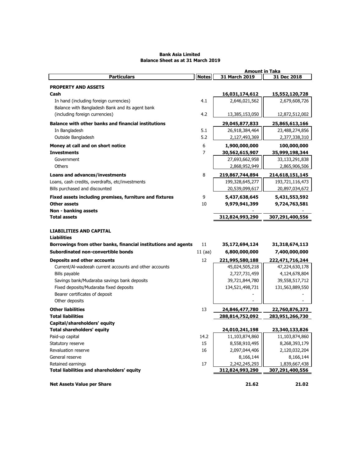### **Bank Asia Limited Balance Sheet as at 31 March 2019**

|                                                                |              | <b>Amount in Taka</b> |                 |
|----------------------------------------------------------------|--------------|-----------------------|-----------------|
| <b>Particulars</b>                                             | <b>Notes</b> | 31 March 2019         | 31 Dec 2018     |
| <b>PROPERTY AND ASSETS</b>                                     |              |                       |                 |
| Cash                                                           |              | 16,031,174,612        | 15,552,120,728  |
| In hand (including foreign currencies)                         | 4.1          | 2,646,021,562         | 2,679,608,726   |
| Balance with Bangladesh Bank and its agent bank                |              |                       |                 |
| (including foreign currencies)                                 | 4.2          | 13,385,153,050        | 12,872,512,002  |
| <b>Balance with other banks and financial institutions</b>     |              | 29,045,877,833        | 25,865,613,166  |
| In Bangladesh                                                  | 5.1          | 26,918,384,464        | 23,488,274,856  |
| Outside Bangladesh                                             | 5.2          | 2,127,493,369         | 2,377,338,310   |
| Money at call and on short notice                              | 6            | 1,900,000,000         | 100,000,000     |
| <b>Investments</b>                                             | 7            | 30,562,615,907        | 35,999,198,344  |
| Government                                                     |              | 27,693,662,958        | 33,133,291,838  |
| <b>Others</b>                                                  |              | 2,868,952,949         | 2,865,906,506   |
|                                                                |              |                       |                 |
| <b>Loans and advances/investments</b>                          | 8            | 219,867,744,894       | 214,618,151,145 |
| Loans, cash credits, overdrafts, etc/investments               |              | 199,328,645,277       | 193,721,116,473 |
| Bills purchased and discounted                                 |              | 20,539,099,617        | 20,897,034,672  |
| Fixed assets including premises, furniture and fixtures        | 9            | 5,437,638,645         | 5,431,553,592   |
| Other assets                                                   | 10           | 9,979,941,399         | 9,724,763,581   |
| Non - banking assets                                           |              |                       |                 |
| <b>Total assets</b>                                            |              | 312,824,993,290       | 307,291,400,556 |
| <b>LIABILITIES AND CAPITAL</b>                                 |              |                       |                 |
| <b>Liabilities</b>                                             |              |                       |                 |
| Borrowings from other banks, financial institutions and agents | 11           | 35,172,694,124        | 31,318,674,113  |
| Subordinated non-convertible bonds                             | $11$ (aa)    | 6,800,000,000         | 7,400,000,000   |
| <b>Deposits and other accounts</b>                             | 12           | 221,995,580,188       | 222,471,716,244 |
| Current/Al-wadeeah current accounts and other accounts         |              | 45,024,505,218        | 47,224,630,178  |
| Bills payable                                                  |              | 2,727,731,459         | 4,124,678,804   |
| Savings bank/Mudaraba savings bank deposits                    |              | 39,721,844,780        | 39,558,517,712  |
| Fixed deposits/Mudaraba fixed deposits                         |              | 134,521,498,731       | 131,563,889,550 |
| Bearer certificates of deposit                                 |              |                       |                 |
| Other deposits                                                 |              |                       |                 |
| <b>Other liabilities</b>                                       | 13           | 24,846,477,780        | 22,760,876,373  |
| <b>Total liabilities</b>                                       |              | 288,814,752,092       | 283,951,266,730 |
| Capital/shareholders' equity                                   |              |                       |                 |
| <b>Total shareholders' equity</b>                              |              | 24,010,241,198        | 23,340,133,826  |
| Paid-up capital                                                | 14.2         | 11,103,874,860        | 11,103,874,860  |
| Statutory reserve                                              | 15           | 8,558,910,495         | 8,268,393,179   |
| Revaluation reserve                                            | 16           | 2,097,044,406         | 2,120,032,204   |
| General reserve                                                |              | 8,166,144             | 8,166,144       |
| Retained earnings                                              | 17           | 2,242,245,293         | 1,839,667,438   |
| Total liabilities and shareholders' equity                     |              | 312,824,993,290       | 307,291,400,556 |
|                                                                |              |                       |                 |
| <b>Net Assets Value per Share</b>                              |              | 21.62                 | 21.02           |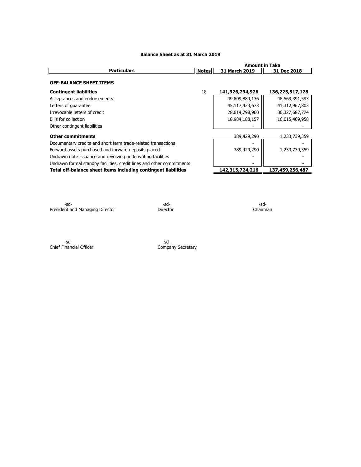|                                                                       |              | <b>Amount in Taka</b> |                 |
|-----------------------------------------------------------------------|--------------|-----------------------|-----------------|
| <b>Particulars</b>                                                    | <b>Notes</b> | 31 March 2019         | 31 Dec 2018     |
| <b>OFF-BALANCE SHEET ITEMS</b>                                        |              |                       |                 |
| <b>Contingent liabilities</b>                                         | 18           | 141,926,294,926       | 136,225,517,128 |
| Acceptances and endorsements                                          |              | 49,809,884,136        | 48,569,391,593  |
| Letters of quarantee                                                  |              | 45,117,423,673        | 41,312,967,803  |
| Irrevocable letters of credit                                         |              | 28,014,798,960        | 30,327,687,774  |
| Bills for collection                                                  |              | 18,984,188,157        | 16,015,469,958  |
| Other contingent liabilities                                          |              |                       |                 |
| <b>Other commitments</b>                                              |              | 389,429,290           | 1,233,739,359   |
| Documentary credits and short term trade-related transactions         |              |                       |                 |
| Forward assets purchased and forward deposits placed                  |              | 389,429,290           | 1,233,739,359   |
| Undrawn note issuance and revolving underwriting facilities           |              |                       |                 |
| Undrawn formal standby facilities, credit lines and other commitments |              |                       |                 |
| Total off-balance sheet items including contingent liabilities        |              | 142,315,724,216       | 137,459,256,487 |

### **Balance Sheet as at 31 March 2019**

-sd- -sd- -sd-President and Managing Director **Director** Director **Director** Chairman

-sd- -sd-Chief Financial Officer Chief Company Secretary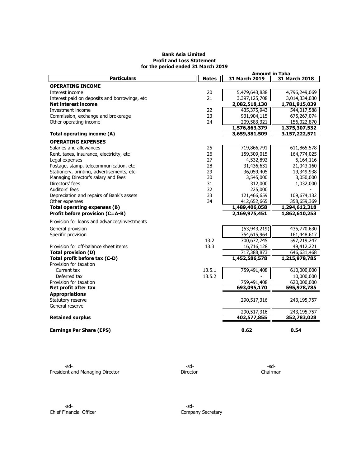### **Bank Asia Limited Profit and Loss Statement for the period ended 31 March 2019**

|                                                         |              | <b>Amount in Taka</b> |               |
|---------------------------------------------------------|--------------|-----------------------|---------------|
| <b>Particulars</b>                                      | <b>Notes</b> | 31 March 2019         | 31 March 2018 |
| <b>OPERATING INCOME</b>                                 |              |                       |               |
| Interest income                                         | 20           | 5,479,643,838         | 4,796,249,069 |
| Interest paid on deposits and borrowings, etc.          | 21           | 3,397,125,708         | 3,014,334,030 |
| <b>Net interest income</b>                              |              | 2,082,518,130         | 1,781,915,039 |
| Investment income                                       | 22           | 435,375,943           | 544,017,588   |
| Commission, exchange and brokerage                      | 23           | 931,904,115           | 675,267,074   |
| Other operating income                                  | 24           | 209,583,321           | 156,022,870   |
|                                                         |              | 1,576,863,379         | 1,375,307,532 |
| Total operating income (A)                              |              | 3,659,381,509         | 3,157,222,571 |
| <b>OPERATING EXPENSES</b>                               |              |                       |               |
| Salaries and allowances                                 | 25           | 719,866,791           | 611,865,578   |
| Rent, taxes, insurance, electricity, etc                | 26           | 159,309,015           | 164,774,025   |
| Legal expenses                                          | 27           | 4,532,892             | 5,164,116     |
| Postage, stamp, telecommunication, etc                  | 28           | 31,436,631            | 21,043,160    |
| Stationery, printing, advertisements, etc               | 29           | 36,059,405            | 19,349,938    |
| Managing Director's salary and fees                     | 30           | 3,545,000             | 3,050,000     |
| Directors' fees                                         | 31           | 312,000               | 1,032,000     |
| Auditors' fees                                          | 32           | 225,000               |               |
| Depreciation and repairs of Bank's assets               | 33           | 121,466,659           | 109,674,132   |
| Other expenses                                          | 34           | 412,652,665           | 358,659,369   |
| Total operating expenses (B)                            |              | 1,489,406,058         | 1,294,612,318 |
| Profit before provision (C=A-B)                         |              | 2,169,975,451         | 1,862,610,253 |
| Provision for loans and advances/investments            |              |                       |               |
| General provision                                       |              | (53, 943, 219)        | 435,770,630   |
| Specific provision                                      |              | 754,615,964           | 161,448,617   |
|                                                         | 13.2         | 700,672,745           | 597,219,247   |
| Provision for off-balance sheet items                   | 13.3         | 16,716,128            | 49,412,221    |
| Total provision (D)                                     |              | 717,388,873           | 646,631,468   |
| Total profit before tax (C-D)<br>Provision for taxation |              | 1,452,586,578         | 1,215,978,785 |
| Current tax                                             | 13.5.1       | 759,491,408           | 610,000,000   |
| Deferred tax                                            | 13.5.2       |                       | 10,000,000    |
| Provision for taxation                                  |              | 759,491,408           | 620,000,000   |
| Net profit after tax                                    |              | 693,095,170           | 595,978,785   |
| <b>Appropriations</b>                                   |              |                       |               |
| Statutory reserve                                       |              | 290,517,316           | 243,195,757   |
| General reserve                                         |              |                       |               |
|                                                         |              | 290,517,316           | 243,195,757   |
| <b>Retained surplus</b>                                 |              | 402,577,855           | 352,783,028   |
| <b>Earnings Per Share (EPS)</b>                         |              | 0.62                  | 0.54          |

-sd- -sd- -sd-President and Managing Director **Director** Director **Director** Chairman

-sd- -sd-Chief Financial Officer **Company Secretary**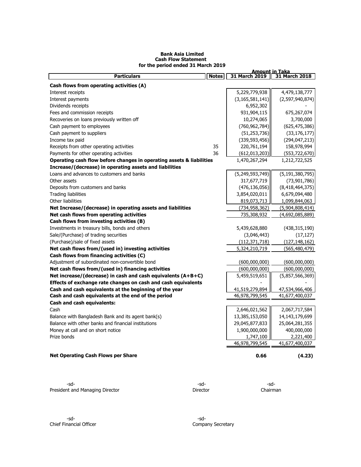### **Bank Asia Limited Cash Flow Statement for the period ended 31 March 2019**

|                                                                      |              | <b>Amount in Taka</b> |                    |
|----------------------------------------------------------------------|--------------|-----------------------|--------------------|
| <b>Particulars</b>                                                   | <b>Notes</b> | 31 March 2019         | 31 March 2018      |
| Cash flows from operating activities (A)                             |              |                       |                    |
| Interest receipts                                                    |              | 5,229,779,938         | 4,479,138,777      |
| Interest payments                                                    |              | (3, 165, 581, 141)    | (2,597,940,874)    |
| Dividends receipts                                                   |              | 6,952,302             |                    |
| Fees and commission receipts                                         |              | 931,904,115           | 675,267,074        |
| Recoveries on loans previously written off                           |              | 10,274,065            | 3,700,000          |
| Cash payment to employees                                            |              | (760, 962, 784)       | (625, 475, 386)    |
| Cash payment to suppliers                                            |              | (51, 253, 736)        | (33, 176, 177)     |
| Income tax paid                                                      |              | (339, 593, 456)       | (294, 047, 213)    |
| Receipts from other operating activities                             | 35           | 220,761,194           | 158,978,994        |
| Payments for other operating activities                              | 36           | (612,013,203)         | (553, 722, 670)    |
| Operating cash flow before changes in operating assets & liabilities |              | 1,470,267,294         | 1,212,722,525      |
| Increase/(decrease) in operating assets and liabilities              |              |                       |                    |
| Loans and advances to customers and banks                            |              | (5,249,593,749)       | (5, 191, 380, 795) |
| Other assets                                                         |              | 317,677,719           | (73, 901, 786)     |
| Deposits from customers and banks                                    |              | (476, 136, 056)       | (8,418,464,375)    |
| <b>Trading liabilities</b>                                           |              | 3,854,020,011         | 6,679,094,480      |
| Other liabilities                                                    |              | 819,073,713           | 1,099,844,063      |
| Net Increase/(decrease) in operating assets and liabilities          |              | (734,958,362)         | (5,904,808,414)    |
| Net cash flows from operating activities                             |              | 735,308,932           | (4,692,085,889)    |
| Cash flows from investing activities (B)                             |              |                       |                    |
| Investments in treasury bills, bonds and others                      |              | 5,439,628,880         | (438, 315, 190)    |
| Sale/(Purchase) of trading securities                                |              | (3,046,443)           | (17, 127)          |
| (Purchase)/sale of fixed assets                                      |              | (112, 371, 718)       | (127, 148, 162)    |
| Net cash flows from/(used in) investing activities                   |              | 5,324,210,719         | (565, 480, 479)    |
| Cash flows from financing activities (C)                             |              |                       |                    |
| Adjustment of subordinated non-convertible bond                      |              | (600,000,000)         | (600,000,000)      |
| Net cash flows from/(used in) financing activities                   |              | (600,000,000)         | (600,000,000)      |
| Net increase/(decrease) in cash and cash equivalents (A+B+C)         |              | 5,459,519,651         | (5,857,566,369)    |
| Effects of exchange rate changes on cash and cash equivalents        |              |                       |                    |
| Cash and cash equivalents at the beginning of the year               |              | 41,519,279,894        | 47,534,966,406     |
| Cash and cash equivalents at the end of the period                   |              | 46,978,799,545        | 41,677,400,037     |
| Cash and cash equivalents:                                           |              |                       |                    |
| Cash                                                                 |              | 2,646,021,562         | 2,067,717,584      |
| Balance with Bangladesh Bank and its agent bank(s)                   |              | 13,385,153,050        | 14, 143, 179, 699  |
| Balance with other banks and financial institutions                  |              | 29,045,877,833        | 25,064,281,355     |
| Money at call and on short notice                                    |              | 1,900,000,000         | 400,000,000        |
| Prize bonds                                                          |              | 1,747,100             | 2,221,400          |
|                                                                      |              | 46,978,799,545        | 41,677,400,037     |
|                                                                      |              |                       |                    |
| <b>Net Operating Cash Flows per Share</b>                            |              | 0.66                  | (4.23)             |
|                                                                      |              |                       |                    |

-sd- -sd- -sd-President and Managing Director **Director** Director **Director** Chairman

-sd- -sd-Chief Financial Officer Company Secretary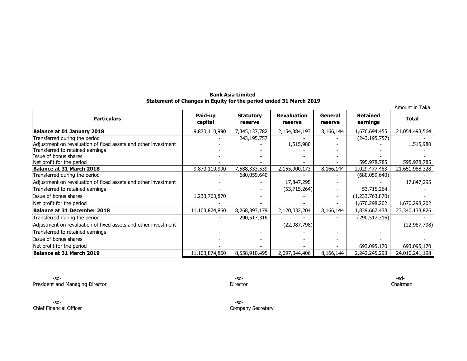### **Bank Asia Limited Statement of Changes in Equity for the period ended 31 March 2019**

|                                                                                                                                     |                    |                             |                               |                    |                             | Amount in Taka |
|-------------------------------------------------------------------------------------------------------------------------------------|--------------------|-----------------------------|-------------------------------|--------------------|-----------------------------|----------------|
| <b>Particulars</b>                                                                                                                  | Paid-up<br>capital | <b>Statutory</b><br>reserve | <b>Revaluation</b><br>reserve | General<br>reserve | <b>Retained</b><br>earnings | <b>Total</b>   |
| <b>Balance at 01 January 2018</b>                                                                                                   | 9,870,110,990      | 7,345,137,782               | 2,154,384,193                 | 8,166,144          | 1,676,694,455               | 21,054,493,564 |
| Transferred during the period<br>Adjustment on revaluation of fixed assets and other investment<br>Transferred to retained earnings |                    | 243,195,757                 | 1,515,980                     |                    | (243, 195, 757)             | 1,515,980      |
| Issue of bonus shares<br>Net profit for the period                                                                                  |                    |                             |                               |                    | 595,978,785                 | 595,978,785    |
| Balance at 31 March 2018                                                                                                            | 9,870,110,990      | 7,588,333,539               | 2,155,900,173                 | 8,166,144          | 2,029,477,483               | 21,651,988,328 |
| Transferred during the period                                                                                                       |                    | 680,059,640                 |                               |                    | (680, 059, 640)             |                |
| Adjustment on revaluation of fixed assets and other investment                                                                      |                    |                             | 17,847,295                    |                    |                             | 17,847,295     |
| Transferred to retained earnings                                                                                                    |                    |                             | (53, 715, 264)                |                    | 53,715,264                  |                |
| Issue of bonus shares                                                                                                               | 1,233,763,870      |                             |                               |                    | (1, 233, 763, 870)          |                |
| Net profit for the period                                                                                                           |                    |                             |                               |                    | 1,670,298,202               | 1,670,298,202  |
| Balance at 31 December 2018                                                                                                         | 11,103,874,860     | 8,268,393,179               | 2,120,032,204                 | 8,166,144          | 1,839,667,438               | 23,340,133,826 |
| Transferred during the period                                                                                                       |                    | 290,517,316                 |                               |                    | (290, 517, 316)             |                |
| Adjustment on revaluation of fixed assets and other investment                                                                      |                    |                             | (22, 987, 798)                |                    |                             | (22, 987, 798) |
| Transferred to retained earnings                                                                                                    |                    |                             |                               |                    |                             |                |
| Issue of bonus shares                                                                                                               |                    |                             |                               |                    |                             |                |
| Net profit for the period                                                                                                           |                    |                             |                               |                    | 693,095,170                 | 693,095,170    |
| Balance at 31 March 2019                                                                                                            | 11,103,874,860     | 8,558,910,495               | 2,097,044,406                 | 8,166,144          | 2,242,245,293               | 24,010,241,198 |

-sd- -sd- -sd-President and Managing Director Chairman **Director** Director Director Director Chairman

-sd- -sd-Chief Financial Officer Chief Financial Officer Company Secretary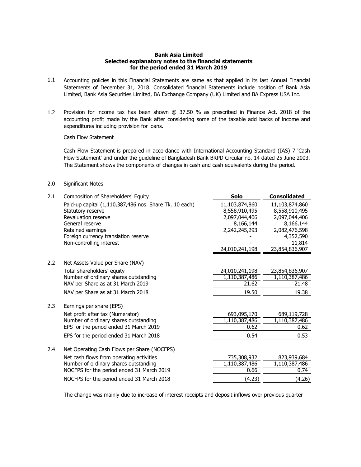### **Bank Asia Limited Selected explanatory notes to the financial statements for the period ended 31 March 2019**

- 1.1 Accounting policies in this Financial Statements are same as that applied in its last Annual Financial Statements of December 31, 2018. Consolidated financial Statements include position of Bank Asia Limited, Bank Asia Securities Limited, BA Exchange Company (UK) Limited and BA Express USA Inc.
- 1.2 Provision for income tax has been shown @ 37.50 % as prescribed in Finance Act, 2018 of the accounting profit made by the Bank after considering some of the taxable add backs of income and expenditures including provision for loans.

Cash Flow Statement

Cash Flow Statement is prepared in accordance with International Accounting Standard (IAS) 7 'Cash Flow Statement' and under the guideline of Bangladesh Bank BRPD Circular no. 14 dated 25 June 2003. The Statement shows the components of changes in cash and cash equivalents during the period.

### 2.0 Significant Notes

| 2.1 | Composition of Shareholders' Equity                              | Solo           | <b>Consolidated</b> |
|-----|------------------------------------------------------------------|----------------|---------------------|
|     | Paid-up capital (1,110,387,486 nos. Share Tk. 10 each)           | 11,103,874,860 | 11,103,874,860      |
|     | Statutory reserve                                                | 8,558,910,495  | 8,558,910,495       |
|     | Revaluation reserve                                              | 2,097,044,406  | 2,097,044,406       |
|     | General reserve                                                  | 8,166,144      | 8,166,144           |
|     | Retained earnings                                                | 2,242,245,293  | 2,082,476,598       |
|     | Foreign currency translation reserve<br>Non-controlling interest |                | 4,352,590<br>11,814 |
|     |                                                                  | 24,010,241,198 | 23,854,836,907      |
|     |                                                                  |                |                     |
| 2.2 | Net Assets Value per Share (NAV)                                 |                |                     |
|     | Total shareholders' equity                                       | 24,010,241,198 | 23,854,836,907      |
|     | Number of ordinary shares outstanding                            | 1,110,387,486  | 1,110,387,486       |
|     | NAV per Share as at 31 March 2019                                | 21.62          | 21.48               |
|     | NAV per Share as at 31 March 2018                                | 19.50          | 19.38               |
| 2.3 | Earnings per share (EPS)                                         |                |                     |
|     | Net profit after tax (Numerator)                                 | 693,095,170    | 689,119,728         |
|     | Number of ordinary shares outstanding                            | 1,110,387,486  | 1,110,387,486       |
|     | EPS for the period ended 31 March 2019                           | 0.62           | 0.62                |
|     | EPS for the period ended 31 March 2018                           | 0.54           | 0.53                |
| 2.4 | Net Operating Cash Flows per Share (NOCFPS)                      |                |                     |
|     | Net cash flows from operating activities                         | 735,308,932    | 823,939,684         |
|     | Number of ordinary shares outstanding                            | 1,110,387,486  | 1,110,387,486       |
|     | NOCFPS for the period ended 31 March 2019                        | 0.66           | 0.74                |
|     | NOCFPS for the period ended 31 March 2018                        | (4.23)         | (4.26)              |

The change was mainly due to increase of interest receipts and deposit inflows over previous quarter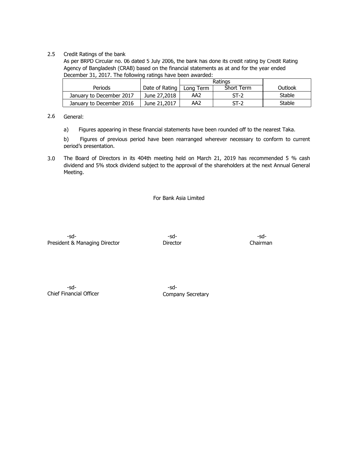### 2.5 Credit Ratings of the bank

As per BRPD Circular no. 06 dated 5 July 2006, the bank has done its credit rating by Credit Rating Agency of Bangladesh (CRAB) based on the financial statements as at and for the year ended December 31, 2017. The following ratings have been awarded:

|                          |                | Ratings   |            |         |
|--------------------------|----------------|-----------|------------|---------|
| Periods                  | Date of Rating | Lona Term | Short Term | Outlook |
| January to December 2017 | June 27,2018   | AA2       | $ST-2$     | Stable  |
| January to December 2016 | June 21,2017   | AA2       | $ST-2$     | Stable  |

#### 2.6 General:

a) Figures appearing in these financial statements have been rounded off to the nearest Taka.

b) Figures of previous period have been rearranged wherever necessary to conform to current period's presentation.

3.0 The Board of Directors in its 404th meeting held on March 21, 2019 has recommended 5 % cash dividend and 5% stock dividend subject to the approval of the shareholders at the next Annual General Meeting.

For Bank Asia Limited

-sd- -sd- -sd-President & Managing Director **Director** Director Chairman

-sd- -sd-Chief Financial Officer Chief Financial Officer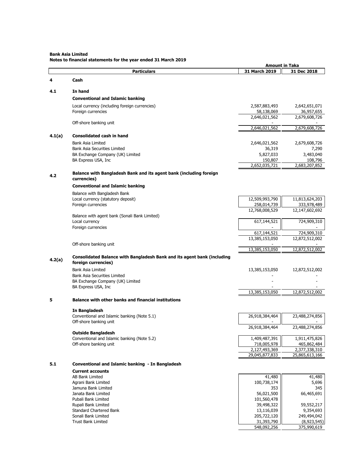**Bank Asia Limited**

|  | Notes to financial statements for the year ended 31 March 2019 |  |  |
|--|----------------------------------------------------------------|--|--|
|--|----------------------------------------------------------------|--|--|

|        |                                                                                                | <b>Amount in Taka</b>           |                              |
|--------|------------------------------------------------------------------------------------------------|---------------------------------|------------------------------|
|        | <b>Particulars</b>                                                                             | 31 March 2019                   | 31 Dec 2018                  |
| 4      | Cash                                                                                           |                                 |                              |
| 4.1    | In hand                                                                                        |                                 |                              |
|        | <b>Conventional and Islamic banking</b>                                                        |                                 |                              |
|        | Local currency (including foreign currencies)                                                  | 2,587,883,493                   | 2,642,651,071                |
|        | Foreign currencies                                                                             | 58,138,069                      | 36,957,655                   |
|        |                                                                                                | 2,646,021,562                   | 2,679,608,726                |
|        | Off-shore banking unit                                                                         |                                 |                              |
|        |                                                                                                | 2,646,021,562                   | 2,679,608,726                |
| 4.1(a) | <b>Consolidated cash in hand</b>                                                               |                                 |                              |
|        | Bank Asia Limited                                                                              | 2,646,021,562                   | 2,679,608,726                |
|        | Bank Asia Securities Limited                                                                   | 36,319                          | 7,290                        |
|        | BA Exchange Company (UK) Limited                                                               | 5,827,033                       | 3,483,040                    |
|        | BA Express USA, Inc                                                                            | 150,807<br>2,652,035,721        | 108,796<br>2,683,207,852     |
|        |                                                                                                |                                 |                              |
| 4.2    | Balance with Bangladesh Bank and its agent bank (including foreign<br>currencies)              |                                 |                              |
|        | <b>Conventional and Islamic banking</b>                                                        |                                 |                              |
|        | Balance with Bangladesh Bank                                                                   |                                 |                              |
|        | Local currency (statutory deposit)                                                             | 12,509,993,790                  | 11,813,624,203               |
|        | Foreign currencies                                                                             | 258,014,739                     | 333,978,489                  |
|        |                                                                                                | 12,768,008,529                  | 12,147,602,692               |
|        | Balance with agent bank (Sonali Bank Limited)<br>Local currency                                | 617,144,521                     | 724,909,310                  |
|        | Foreign currencies                                                                             |                                 |                              |
|        |                                                                                                | 617,144,521                     | 724,909,310                  |
|        |                                                                                                | 13,385,153,050                  | 12,872,512,002               |
|        | Off-shore banking unit                                                                         |                                 |                              |
|        |                                                                                                | 13,385,153,050                  | 12,872,512,002               |
| 4.2(a) | Consolidated Balance with Bangladesh Bank and its agent bank (including<br>foreign currencies) |                                 |                              |
|        | Bank Asia Limited                                                                              | 13,385,153,050                  | 12,872,512,002               |
|        | Bank Asia Securities Limited                                                                   |                                 |                              |
|        | BA Exchange Company (UK) Limited                                                               |                                 |                              |
|        | BA Express USA, Inc                                                                            | 13,385,153,050                  | 12,872,512,002               |
| 5      | <b>Balance with other banks and financial institutions</b>                                     |                                 |                              |
|        | In Bangladesh                                                                                  |                                 |                              |
|        | Conventional and Islamic banking (Note 5.1)                                                    | 26,918,384,464                  | 23,488,274,856               |
|        | Off-shore banking unit                                                                         |                                 |                              |
|        |                                                                                                | 26,918,384,464                  | 23,488,274,856               |
|        | <b>Outside Bangladesh</b>                                                                      |                                 |                              |
|        | Conventional and Islamic banking (Note 5.2)                                                    | 1,409,487,391                   | 1,911,475,826                |
|        | Off-shore banking unit                                                                         | 718,005,978                     | 465,862,484<br>2,377,338,310 |
|        |                                                                                                | 2,127,493,369<br>29,045,877,833 | 25,865,613,166               |
|        |                                                                                                |                                 |                              |
| 5.1    | Conventional and Islamic banking - In Bangladesh                                               |                                 |                              |
|        | <b>Current accounts</b>                                                                        |                                 |                              |
|        | AB Bank Limited<br>Agrani Bank Limited                                                         | 41,480<br>100,738,174           | 41,480<br>5,696              |
|        | Jamuna Bank Limited                                                                            | 353                             | 345                          |
|        | Janata Bank Limited                                                                            | 56,021,500                      | 66,465,691                   |
|        | Pubali Bank Limited                                                                            | 101,560,478                     |                              |
|        | Rupali Bank Limited                                                                            | 39,498,322                      | 59,552,217                   |
|        | Standard Chartered Bank                                                                        | 13,116,039                      | 9,354,693                    |
|        | Sonali Bank Limited                                                                            | 205,722,120                     | 249,494,042                  |
|        | <b>Trust Bank Limited</b>                                                                      | 31,393,790                      | (8,923,545)                  |
|        |                                                                                                | 548,092,256                     | 375,990,619                  |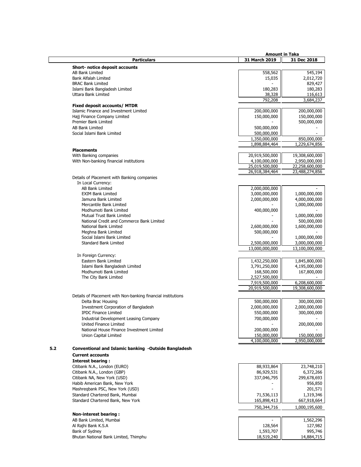|     |                                                                               |                            | <b>Amount in Taka</b>          |
|-----|-------------------------------------------------------------------------------|----------------------------|--------------------------------|
|     | <b>Particulars</b>                                                            | 31 March 2019              | 31 Dec 2018                    |
|     | <b>Short- notice deposit accounts</b>                                         |                            |                                |
|     | <b>AB Bank Limited</b>                                                        | 558,562                    | 545,194                        |
|     | Bank Alfalah Limited                                                          | 15,035                     | 2,012,720                      |
|     | <b>BRAC Bank Limited</b>                                                      |                            | 829,427                        |
|     | Islami Bank Bangladesh Limited                                                | 180,283                    | 180,283                        |
|     | Uttara Bank Limited                                                           | 38,328                     | 116,613                        |
|     |                                                                               | 792,208                    | 3,684,237                      |
|     | <b>Fixed deposit accounts/ MTDR</b><br>Islamic Finance and Investment Limited | 200,000,000                |                                |
|     | Hajj Finance Company Limited                                                  | 150,000,000                | 200,000,000<br>150,000,000     |
|     | Premier Bank Limited                                                          |                            | 500,000,000                    |
|     | AB Bank Limited                                                               | 500,000,000                |                                |
|     | Social Islami Bank Limited                                                    | 500,000,000                |                                |
|     |                                                                               | 1,350,000,000              | 850,000,000                    |
|     |                                                                               | 1,898,884,464              | 1,229,674,856                  |
|     | <b>Placements</b>                                                             |                            |                                |
|     | With Banking companies                                                        | 20,919,500,000             | 19,308,600,000                 |
|     | With Non-banking financial institutions                                       | 4,100,000,000              | 2,950,000,000                  |
|     |                                                                               | 25,019,500,000             | 22,258,600,000                 |
|     |                                                                               | 26,918,384,464             | 23,488,274,856                 |
|     | Details of Placement with Banking companies                                   |                            |                                |
|     | In Local Currency:                                                            |                            |                                |
|     | AB Bank Limited                                                               | 2,000,000,000              |                                |
|     | <b>EXIM Bank Limited</b>                                                      | 3,000,000,000              | 1,000,000,000<br>4,000,000,000 |
|     | Jamuna Bank Limited<br>Mercantile Bank Limited                                | 2,000,000,000              | 1,000,000,000                  |
|     | Modhumoti Bank Limited                                                        | 400,000,000                |                                |
|     | Mutual Trust Bank Limited                                                     |                            | 1,000,000,000                  |
|     | National Credit and Commerce Bank Limited                                     |                            | 500,000,000                    |
|     | National Bank Limited                                                         | 2,600,000,000              | 1,600,000,000                  |
|     | Meghna Bank Limited                                                           | 500,000,000                |                                |
|     | Social Islami Bank Limited                                                    |                            | 1,000,000,000                  |
|     | <b>Standard Bank Limited</b>                                                  | 2,500,000,000              | 3,000,000,000                  |
|     |                                                                               | 13,000,000,000             | 13,100,000,000                 |
|     | In Foreign Currency:                                                          |                            |                                |
|     | Eastern Bank Limited                                                          | 1,432,250,000              | 1,845,800,000                  |
|     | Islami Bank Bangladesh Limited                                                | 3,791,250,000              | 4,195,000,000                  |
|     | Modhumoti Bank Limited                                                        | 168,500,000                | 167,800,000                    |
|     | The City Bank Limited                                                         | 2,527,500,000              |                                |
|     |                                                                               | 7,919,500,000              | 6,208,600,000                  |
|     |                                                                               | 20,919,500,000             | 19,308,600,000                 |
|     | Details of Placement with Non-banking financial institutions                  |                            |                                |
|     | Delta Brac Housing                                                            | 500,000,000                | 300,000,000                    |
|     | Investment Corporation of Bangladesh                                          | 2,000,000,000              | 2,000,000,000                  |
|     | <b>IPDC Finance Limited</b>                                                   | 550,000,000                | 300,000,000                    |
|     | <b>Industrial Development Leasing Company</b>                                 | 700,000,000                |                                |
|     | United Finance Limited                                                        |                            | 200,000,000                    |
|     | National House Finance Investment Limited<br>Union Capital Limited            | 200,000,000<br>150,000,000 | 150,000,000                    |
|     |                                                                               | 4,100,000,000              | 2,950,000,000                  |
|     |                                                                               |                            |                                |
| 5.2 | Conventional and Islamic banking -Outside Bangladesh                          |                            |                                |
|     | <b>Current accounts</b>                                                       |                            |                                |
|     | <b>Interest bearing:</b>                                                      |                            |                                |
|     | Citibank N.A., London (EURO)                                                  | 88,933,864                 | 23,748,210                     |
|     | Citibank N.A., London (GBP)                                                   | 86,929,531                 | 6,372,266                      |
|     | Citibank NA, New York (USD)                                                   | 337,046,795                | 299,678,693                    |
|     | Habib American Bank, New York                                                 |                            | 956,850                        |
|     | Mashregbank PSC, New York (USD)                                               |                            | 201,571                        |
|     | Standard Chartered Bank, Mumbai                                               | 71,536,113                 | 1,319,346                      |
|     | Standard Chartered Bank, New York                                             | 165,898,413                | 667,918,664                    |
|     |                                                                               | 750,344,716                | 1,000,195,600                  |
|     | <b>Non-interest bearing:</b>                                                  |                            |                                |
|     | AB Bank Limited, Mumbai                                                       |                            | 1,562,296                      |
|     | Al Rajhi Bank K.S.A                                                           | 128,564                    | 127,982                        |
|     | Bank of Sydney                                                                | 1,593,707                  | 995,746                        |
|     | Bhutan National Bank Limited, Thimphu                                         | 18,519,240                 | 14,884,715                     |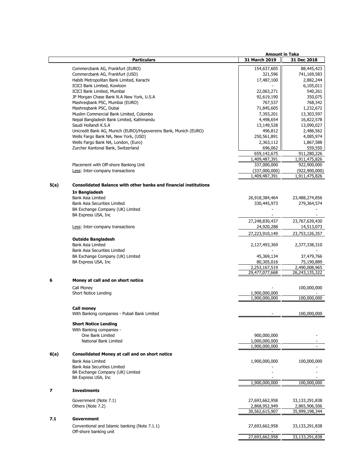|      |                                                                             | <b>Amount in Taka</b>           |                                 |
|------|-----------------------------------------------------------------------------|---------------------------------|---------------------------------|
|      | <b>Particulars</b>                                                          | 31 March 2019                   | 31 Dec 2018                     |
|      | Commerzbank AG, Frankfurt (EURO)                                            | 154,637,605                     | 88,445,423                      |
|      | Commerzbank AG, Frankfurt (USD)                                             | 321,596                         | 741,169,583                     |
|      | Habib Metropolitan Bank Limited, Karachi                                    | 17,487,100                      | 2,882,244                       |
|      | ICICI Bank Limited, Kowloon                                                 |                                 | 6,105,011                       |
|      | ICICI Bank Limited, Mumbai                                                  | 22,063,271                      | 540,261                         |
|      | JP Morgan Chase Bank N.A New York, U.S.A                                    | 92,619,190                      | 350,075                         |
|      | Mashreqbank PSC, Mumbai (EURO)                                              | 767,537                         | 768,342                         |
|      | Mashregbank PSC, Dubai                                                      | 71,845,605                      | 1,232,672                       |
|      | Muslim Commercial Bank Limited, Colombo                                     | 7,393,201                       | 13,303,597                      |
|      | Nepal Bangladesh Bank Limited, Kathmandu                                    | 4,498,654                       | 16,822,578                      |
|      | Saudi Hollandi K.S.A                                                        | 13,149,528                      | 13,090,027                      |
|      | Unicredit Bank AG, Munich (EURO)/Hypovereins Bank, Munich (EURO)            | 496,812                         | 2,486,562                       |
|      | Wells Fargo Bank NA, New York, (USD)<br>Wells Fargo Bank NA, London, (Euro) | 250,561,891                     | 4,085,974                       |
|      | Zurcher Kantonal Bank, Switzerland                                          | 2,363,112<br>696,062            | 1,867,588<br>559,550            |
|      |                                                                             | 659,142,675                     | 911,280,226                     |
|      |                                                                             | 1,409,487,391                   | 1,911,475,826                   |
|      | Placement with Off-shore Banking Unit                                       | 337,000,000                     | 922,900,000                     |
|      | Less: Inter-company transactions                                            | (337,000,000)                   | (922, 900, 000)                 |
|      |                                                                             | 1,409,487,391                   | 1,911,475,826                   |
|      |                                                                             |                                 |                                 |
| 5(a) | <b>Consolidated Balance with other banks and financial institutions</b>     |                                 |                                 |
|      | In Bangladesh                                                               |                                 |                                 |
|      | Bank Asia Limited                                                           | 26,918,384,464                  | 23,488,274,856                  |
|      | Bank Asia Securities Limited                                                | 330,445,973                     | 279,364,574                     |
|      | BA Exchange Company (UK) Limited                                            |                                 |                                 |
|      | BA Express USA, Inc                                                         |                                 |                                 |
|      |                                                                             | 27,248,830,437                  | 23,767,639,430                  |
|      | Less: Inter-company transactions                                            | 24,920,288                      | 14,513,073                      |
|      |                                                                             | 27,223,910,149                  | 23,753,126,357                  |
|      | <b>Outside Bangladesh</b>                                                   |                                 |                                 |
|      | Bank Asia Limited                                                           | 2,127,493,369                   | 2,377,338,310                   |
|      | Bank Asia Securities Limited                                                |                                 |                                 |
|      | BA Exchange Company (UK) Limited                                            | 45,369,134                      | 37,479,766                      |
|      | BA Express USA, Inc.                                                        | 80,305,016                      | 75,190,889                      |
|      |                                                                             | 2,253,167,519                   | 2,490,008,965                   |
|      |                                                                             | 29,477,077,668                  | 26,243,135,322                  |
|      | Money at call and on short notice                                           |                                 |                                 |
|      | Call Money                                                                  |                                 | 100,000,000                     |
|      | Short Notice Lending                                                        | 1,900,000,000                   |                                 |
|      |                                                                             | 1,900,000,000                   | 100,000,000                     |
|      |                                                                             |                                 |                                 |
|      | <b>Call money</b>                                                           |                                 |                                 |
|      | With Banking companies - Pubali Bank Limited                                |                                 | 100,000,000                     |
|      | <b>Short Notice Lending</b>                                                 |                                 |                                 |
|      | With Banking companies -                                                    |                                 |                                 |
|      | One Bank Limited                                                            | 900,000,000                     |                                 |
|      | National Bank Limited                                                       | 1,000,000,000                   |                                 |
|      |                                                                             | 1,900,000,000                   |                                 |
|      |                                                                             |                                 |                                 |
| 6(a) | <b>Consolidated Money at call and on short notice</b>                       |                                 |                                 |
|      | Bank Asia Limited                                                           | 1,900,000,000                   | 100,000,000                     |
|      | Bank Asia Securities Limited                                                |                                 |                                 |
|      | BA Exchange Company (UK) Limited                                            |                                 |                                 |
|      | BA Express USA, Inc.                                                        | 1,900,000,000                   | 100,000,000                     |
|      |                                                                             |                                 |                                 |
|      | <b>Investments</b>                                                          |                                 |                                 |
|      |                                                                             |                                 |                                 |
|      | Government (Note 7.1)                                                       | 27,693,662,958                  | 33,133,291,838                  |
|      | Others (Note 7.2)                                                           | 2,868,952,949<br>30,562,615,907 | 2,865,906,506<br>35,999,198,344 |
|      |                                                                             |                                 |                                 |
| 7.1  | Government                                                                  |                                 |                                 |
|      | Conventional and Islamic banking (Note 7.1.1)                               | 27,693,662,958                  | 33,133,291,838                  |
|      | Off-shore banking unit                                                      |                                 |                                 |
|      |                                                                             | 27,693,662,958                  | 33,133,291,838                  |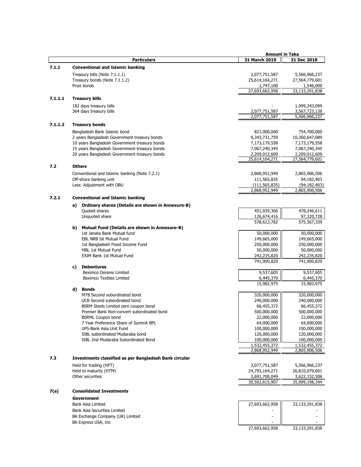|         |    |                                                                                               | <b>Amount in Taka</b>          |                                |
|---------|----|-----------------------------------------------------------------------------------------------|--------------------------------|--------------------------------|
|         |    | <b>Particulars</b>                                                                            | 31 March 2019                  | 31 Dec 2018                    |
| 7.1.1   |    | <b>Conventional and Islamic banking</b>                                                       |                                |                                |
|         |    | Treasury bills (Note 7.1.1.1)                                                                 | 2,077,751,587                  | 5,566,966,237                  |
|         |    | Treasury bonds (Note 7.1.1.2)                                                                 | 25,614,164,271                 | 27,564,779,601                 |
|         |    | Prize bonds                                                                                   | 1,747,100                      | 1,546,000                      |
|         |    |                                                                                               | 27,693,662,958                 | 33,133,291,838                 |
| 7.1.1.1 |    | <b>Treasury bills</b>                                                                         |                                |                                |
|         |    | 182 days treasury bills                                                                       |                                | 1,999,243,099                  |
|         |    | 364 days treasury bills                                                                       | 2,077,751,587                  | 3,567,723,138                  |
|         |    |                                                                                               | 2,077,751,587                  | 5,566,966,237                  |
| 7.1.1.2 |    | <b>Treasury bonds</b>                                                                         |                                |                                |
|         |    |                                                                                               |                                |                                |
|         |    | Bangladesh Bank Islamic bond                                                                  | 821,000,000                    | 754,700,000                    |
|         |    | 2 years Bangladesh Government treasury bonds<br>10 years Bangladesh Government treasury bonds | 8,343,731,759                  | 10,360,647,089                 |
|         |    | 15 years Bangladesh Government treasury bonds                                                 | 7,173,179,558<br>7,067,240,345 | 7,173,179,558<br>7,067,240,345 |
|         |    | 20 years Bangladesh Government treasury bonds                                                 | 2,209,012,609                  | 2,209,012,609                  |
|         |    |                                                                                               | 25,614,164,271                 | 27,564,779,601                 |
| 7.2     |    | <b>Others</b>                                                                                 |                                |                                |
|         |    | Conventional and Islamic banking (Note 7.2.1)                                                 | 2,868,952,949                  | 2,865,906,506                  |
|         |    | Off-shore banking unit                                                                        | 111,565,835                    | 94,182,403                     |
|         |    | Less: Adjustment with OBU                                                                     | (111,565,835)                  | (94,182,403)                   |
|         |    |                                                                                               | 2,868,952,949                  | 2,865,906,506                  |
| 7.2.1   |    | <b>Conventional and Islamic banking</b>                                                       |                                |                                |
|         |    |                                                                                               |                                |                                |
|         |    | a) Ordinary shares (Details are shown in Annexure-B)<br>Quoted shares                         | 451,939,366                    | 478,246,611                    |
|         |    | Unquoted share                                                                                | 126,674,416                    | 97,320,728                     |
|         |    |                                                                                               | 578,613,782                    | 575,567,339                    |
|         |    | b) Mutual Fund (Details are shown in Annexure-B)                                              |                                |                                |
|         |    | 1st Janata Bank Mutual fund                                                                   | 50,000,000                     | 50,000,000                     |
|         |    | <b>EBL NRB Ist Mutual Fund</b>                                                                | 149,665,000                    | 149,665,000                    |
|         |    | 1st Bangladesh Fixed Income Fund                                                              | 250,000,000                    | 250,000,000                    |
|         |    | <b>MBL 1st Mutual Fund</b>                                                                    | 50,000,000                     | 50,000,000                     |
|         |    | EXIM Bank 1st Mutual Fund                                                                     | 242,235,820                    | 242,235,820                    |
|         |    |                                                                                               | 741,900,820                    | 741,900,820                    |
|         | C) | <b>Debentures</b>                                                                             |                                |                                |
|         |    | Beximco Denims Limited                                                                        | 9,537,605                      | 9,537,605                      |
|         |    | <b>Beximco Textiles Limited</b>                                                               | 6,445,370                      | 6,445,370                      |
|         |    | d) Bonds                                                                                      | 15,982,975                     | 15,982,975                     |
|         |    | MTB Second subordinated bond                                                                  | 320,000,000                    | 320,000,000                    |
|         |    | UCB Second subordinated bond                                                                  | 240,000,000                    | 240,000,000                    |
|         |    | BSRM Steels Limited zero coupon bond                                                          | 66,455,372                     | 66,455,372                     |
|         |    | Premier Bank Non-convert subordinated bond                                                    | 500,000,000                    | 500,000,000                    |
|         |    | <b>BSRML Coupon bond</b>                                                                      | 22,000,000                     | 22,000,000                     |
|         |    | 7 Year Preference Share of Summit BPL                                                         | 64,000,000                     | 64,000,000                     |
|         |    | UFS-Bank Asia Unit Fund                                                                       | 100,000,000                    | 100,000,000                    |
|         |    | SIBL subordinated Mudaraba bond                                                               | 120,000,000                    | 120,000,000                    |
|         |    | SIBL 2nd Mudaraba Subordinated Bond                                                           | 100,000,000                    | 100,000,000                    |
|         |    |                                                                                               | 1,532,455,372                  | 1,532,455,372                  |
|         |    |                                                                                               | 2,868,952,949                  | 2,865,906,506                  |
| 7.3     |    | Investments classified as per Bangladesh Bank circular                                        |                                |                                |
|         |    | Held for trading (HFT)                                                                        | 2,077,751,587                  | 5,566,966,237                  |
|         |    | Held to maturity (HTM)                                                                        | 24,793,164,271                 | 26,810,079,601                 |
|         |    | Other securities                                                                              | 3,691,700,049                  | 3,622,152,506                  |
|         |    |                                                                                               | 30,562,615,907                 | 35,999,198,344                 |
| 7(a)    |    | <b>Consolidated Investments</b>                                                               |                                |                                |
|         |    | <b>Government</b>                                                                             |                                |                                |
|         |    | Bank Asia Limited                                                                             | 27,693,662,958                 | 33,133,291,838                 |

| 27,693,662,958 | 33,133,291,838 |  |
|----------------|----------------|--|
|                |                |  |
|                |                |  |
|                |                |  |
| 27,693,662,958 | 33,133,291,838 |  |

## Bank Asia Securities Limited BA Exchange Company (UK) Limited

BA Express USA, Inc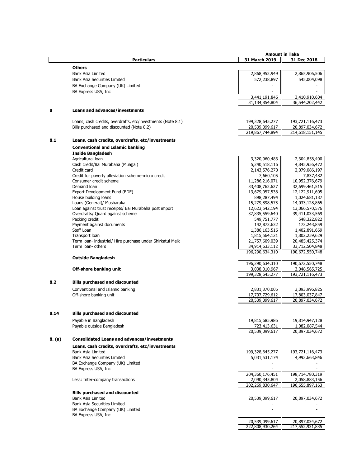|        |                                                             | <b>Amount in Taka</b>         |                                 |
|--------|-------------------------------------------------------------|-------------------------------|---------------------------------|
|        | <b>Particulars</b>                                          | 31 March 2019                 | 31 Dec 2018                     |
|        | <b>Others</b>                                               |                               |                                 |
|        |                                                             |                               |                                 |
|        | Bank Asia Limited                                           | 2,868,952,949                 | 2,865,906,506                   |
|        | <b>Bank Asia Securities Limited</b>                         | 572,238,897                   | 545,004,098                     |
|        | BA Exchange Company (UK) Limited                            |                               |                                 |
|        | BA Express USA, Inc.                                        |                               |                                 |
|        |                                                             | 3,441,191,846                 | 3,410,910,604                   |
|        |                                                             | 31,134,854,804                | 36,544,202,442                  |
|        |                                                             |                               |                                 |
| 8      | Loans and advances/investments                              |                               |                                 |
|        | Loans, cash credits, overdrafts, etc/investments (Note 8.1) | 199,328,645,277               | 193,721,116,473                 |
|        | Bills purchased and discounted (Note 8.2)                   | 20,539,099,617                | 20,897,034,672                  |
|        |                                                             | 219,867,744,894               | 214,618,151,145                 |
| 8.1    | Loans, cash credits, overdrafts, etc/investments            |                               |                                 |
|        |                                                             |                               |                                 |
|        | <b>Conventional and Islamic banking</b>                     |                               |                                 |
|        | <b>Inside Bangladesh</b>                                    |                               |                                 |
|        | Agricultural loan                                           | 3,320,960,483                 | 2,304,858,400                   |
|        | Cash credit/Bai Murabaha (Muajjal)                          | 5,240,518,116                 | 4,845,956,472                   |
|        | Credit card                                                 | 2,143,576,270                 | 2,079,086,197                   |
|        | Credit for poverty alleviation scheme-micro credit          | 7,660,105                     | 7,837,482                       |
|        | Consumer credit scheme                                      | 11,286,216,071                | 10,952,376,679                  |
|        | Demand loan                                                 | 33,408,762,627                | 32,699,461,515                  |
|        | Export Development Fund (EDF)                               | 13,679,057,538                | 12,122,911,605                  |
|        | House building loans                                        | 898,287,494                   | 1,024,681,187                   |
|        | Loans (General)/ Musharaka                                  | 15,279,898,575                | 14,033,128,865                  |
|        | Loan against trust receipts/ Bai Murabaha post import       | 12,623,542,194                | 13,066,570,576                  |
|        | Overdrafts/ Quard against scheme                            | 37,835,559,640                | 39,411,033,569                  |
|        | Packing credit                                              | 549,751,777                   | 548,322,822                     |
|        | Payment against documents                                   | 142,873,632                   | 173,243,859                     |
|        | Staff Loan                                                  |                               |                                 |
|        |                                                             | 1,386,163,516                 | 1,402,891,669                   |
|        | Transport loan                                              | 1,815,564,121                 | 1,802,259,629                   |
|        | Term Ioan- industrial/ Hire purchase under Shirkatul Melk   | 21,757,609,039                | 20,485,425,374                  |
|        | Term loan- others                                           | 34,914,633,112                | 33,712,504,848                  |
|        |                                                             | 196,290,634,310               | 190,672,550,748                 |
|        | <b>Outside Bangladesh</b>                                   |                               |                                 |
|        |                                                             | 196,290,634,310               | 190,672,550,748                 |
|        | Off-shore banking unit                                      | 3,038,010,967                 | 3,048,565,725                   |
|        |                                                             | 199,328,645,277               | 193,721,116,473                 |
| 8.2    | <b>Bills purchased and discounted</b>                       |                               |                                 |
|        |                                                             |                               |                                 |
|        | Conventional and Islamic banking                            | 2,831,370,005                 | 3,093,996,825                   |
|        | Off-shore banking unit                                      | 17,707,729,612                | 17,803,037,847                  |
|        |                                                             | 20,539,099,617                | 20,897,034,672                  |
| 8.14   | <b>Bills purchased and discounted</b>                       |                               |                                 |
|        | Payable in Bangladesh                                       | 19,815,685,986                | 19,814,947,128                  |
|        |                                                             |                               |                                 |
|        | Payable outside Bangladesh                                  | 723,413,631<br>20,539,099,617 | 1,082,087,544<br>20,897,034,672 |
|        |                                                             |                               |                                 |
| 8. (a) | <b>Consolidated Loans and advances/investments</b>          |                               |                                 |
|        | Loans, cash credits, overdrafts, etc/investments            |                               |                                 |
|        | Bank Asia Limited                                           | 199,328,645,277               | 193,721,116,473                 |
|        | <b>Bank Asia Securities Limited</b>                         | 5,031,531,174                 | 4,993,663,846                   |
|        | BA Exchange Company (UK) Limited                            |                               |                                 |
|        | BA Express USA, Inc                                         |                               |                                 |
|        |                                                             | 204,360,176,451               | 198,714,780,319                 |
|        |                                                             | 2,090,345,804                 | 2,058,883,156                   |
|        | Less: Inter-company transactions                            |                               |                                 |
|        |                                                             | 202,269,830,647               | 196,655,897,163                 |
|        | <b>Bills purchased and discounted</b>                       |                               |                                 |
|        | Bank Asia Limited                                           | 20,539,099,617                | 20,897,034,672                  |
|        | <b>Bank Asia Securities Limited</b>                         |                               |                                 |
|        | BA Exchange Company (UK) Limited                            |                               |                                 |
|        | BA Express USA, Inc                                         |                               |                                 |
|        |                                                             | 20,539,099,617                | 20,897,034,672                  |
|        |                                                             | 222,808,930,264               | 217,552,931,835                 |
|        |                                                             |                               |                                 |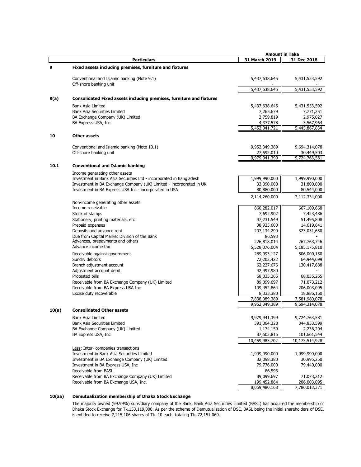|       |                                                                                                                               | <b>Amount in Taka</b>        |                          |
|-------|-------------------------------------------------------------------------------------------------------------------------------|------------------------------|--------------------------|
|       | <b>Particulars</b>                                                                                                            | 31 March 2019                | 31 Dec 2018              |
| 9     | Fixed assets including premises, furniture and fixtures                                                                       |                              |                          |
|       | Conventional and Islamic banking (Note 9.1)<br>Off-shore banking unit                                                         | 5,437,638,645                | 5,431,553,592            |
|       |                                                                                                                               | 5,437,638,645                | 5,431,553,592            |
| 9(a)  | Consolidated Fixed assets including premises, furniture and fixtures                                                          |                              |                          |
|       | Bank Asia Limited                                                                                                             | 5,437,638,645                | 5,431,553,592            |
|       | Bank Asia Securities Limited                                                                                                  | 7,265,679                    | 7,771,251                |
|       | BA Exchange Company (UK) Limited                                                                                              | 2,759,819                    | 2,975,027                |
|       | BA Express USA, Inc.                                                                                                          | 4,377,578                    | 3,567,964                |
|       |                                                                                                                               | 5,452,041,721                | 5,445,867,834            |
| 10    | <b>Other assets</b>                                                                                                           |                              |                          |
|       | Conventional and Islamic banking (Note 10.1)                                                                                  | 9,952,349,389                | 9,694,314,078            |
|       | Off-shore banking unit                                                                                                        | 27,592,010                   | 30,449,503               |
|       |                                                                                                                               | 9,979,941,399                | 9,724,763,581            |
| 10.1  | <b>Conventional and Islamic banking</b>                                                                                       |                              |                          |
|       | Income generating other assets                                                                                                |                              |                          |
|       | Investment in Bank Asia Securities Ltd - incorporated in Bangladesh                                                           | 1,999,990,000                | 1,999,990,000            |
|       | Investment in BA Exchange Company (UK) Limited - incorporated in UK<br>Investment in BA Express USA Inc - incorporated in USA | 33,390,000<br>80,880,000     | 31,800,000<br>80,544,000 |
|       |                                                                                                                               |                              |                          |
|       | Non-income generating other assets                                                                                            | 2,114,260,000                | 2,112,334,000            |
|       | Income receivable                                                                                                             | 860,282,017                  | 667,109,668              |
|       | Stock of stamps                                                                                                               | 7,692,902                    | 7,423,486                |
|       | Stationery, printing materials, etc                                                                                           | 47,231,549                   | 51,495,808               |
|       | Prepaid expenses                                                                                                              | 38,925,600                   | 14,619,641               |
|       | Deposits and advance rent                                                                                                     | 297,134,299                  | 323,031,650              |
|       | Due from Capital Market Division of the Bank<br>Advances, prepayments and others                                              | 86,593<br>226,818,014        | 267,763,746              |
|       | Advance income tax                                                                                                            | 5,528,076,004                | 5,185,175,810            |
|       | Receivable against government                                                                                                 | 289,993,127                  | 506,000,150              |
|       | Sundry debtors                                                                                                                | 72,202,422                   | 64,944,699               |
|       | Branch adjustment account                                                                                                     | 62,227,676                   | 130,417,688              |
|       | Adjustment account debit                                                                                                      | 42,497,980                   |                          |
|       | Protested bills                                                                                                               | 68,035,265                   | 68,035,265               |
|       | Receivable from BA Exchange Company (UK) Limited                                                                              | 89,099,697                   | 71,073,212               |
|       | Receivable from BA Express USA Inc                                                                                            | 199,452,864                  | 206,003,095              |
|       | Excise duty recoverable                                                                                                       | 8,333,380                    | 18,886,160               |
|       |                                                                                                                               | 7,838,089,389                | 7,581,980,078            |
|       |                                                                                                                               | 9,952,349,389                | 9,694,314,078            |
| 10(a) | <b>Consolidated Other assets</b>                                                                                              |                              |                          |
|       | Bank Asia Limited                                                                                                             | 9,979,941,399                | 9,724,763,581            |
|       | Bank Asia Securities Limited                                                                                                  | 391,364,328                  | 344,853,599              |
|       | BA Exchange Company (UK) Limited                                                                                              | 1,174,159                    | 2,236,204                |
|       | BA Express USA, Inc                                                                                                           | 87,503,816<br>10,459,983,702 | 101,661,544              |
|       | Less: Inter-companies transactions                                                                                            |                              | 10,173,514,928           |
|       | Investment in Bank Asia Securities Limited                                                                                    | 1,999,990,000                | 1,999,990,000            |
|       | Investment in BA Exchange Company (UK) Limited                                                                                | 32,098,380                   | 30,995,250               |
|       | Investment in BA Express USA, Inc.                                                                                            | 79,776,000                   | 79,440,000               |
|       | Receivable from BASL                                                                                                          | 86,593                       |                          |
|       | Receivable from BA Exchange Company (UK) Limited                                                                              | 89,099,697                   | 71,073,212               |
|       | Receivable from BA Exchange USA, Inc.                                                                                         | 199,452,864                  | 206,003,095              |
|       |                                                                                                                               | 8,059,480,168                | 7,786,013,371            |

### **10(aa) Demutualization membership of Dhaka Stock Exchange**

The majority owned (99.99%) subsidiary company of the Bank, Bank Asia Securities Limited (BASL) has acquired the membership of Dhaka Stock Exchange for Tk.153,119,000. As per the scheme of Demutualization of DSE, BASL being the initial shareholders of DSE, is entitled to receive 7,215,106 shares of Tk. 10 each, totaling Tk. 72,151,060.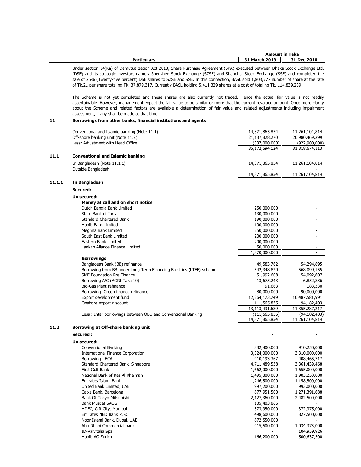|                    |                       | <b>Amount in Taka</b> |
|--------------------|-----------------------|-----------------------|
| <b>Particulars</b> | 31 March 2019<br>$-1$ | 31 Dec 2018           |

Under section 14(Ka) of Demutualization Act 2013, Share Purchase Agreement (SPA) executed between Dhaka Stock Exchange Ltd. (DSE) and its strategic investors namely Shenzhen Stock Exchange (SZSE) and Shanghai Stock Exchange (SSE) and completed the sale of 25% (Twenty-five percent) DSE shares to SZSE and SSE. In this connection, BASL sold 1,803,777 number of share at the rate of Tk.21 per share totaling Tk. 37,879,317. Currently BASL holding 5,411,329 shares at a cost of totaling Tk. 114,839,239

The Scheme is not yet completed and these shares are also currently not traded. Hence the actual fair value is not readily ascertainable. However, management expect the fair value to be similar or more that the current revalued amount. Once more clarity about the Scheme and related factors are available a determination of fair value and related adjustments including impairment assessment, if any shall be made at that time.

### **11 Borrowings from other banks, financial institutions and agents**

|        | Conventional and Islamic banking (Note 11.1)<br>Off-shore banking unit (Note 11.2) | 14,371,865,854<br>21,137,828,270 | 11,261,104,814 |
|--------|------------------------------------------------------------------------------------|----------------------------------|----------------|
|        |                                                                                    |                                  | 20,980,469,299 |
|        | Less: Adjustment with Head Office                                                  | (337,000,000)                    | (922,900,000)  |
|        |                                                                                    | 35,172,694,124                   | 31,318,674,113 |
| 11.1   | <b>Conventional and Islamic banking</b>                                            |                                  |                |
|        | In Bangladesh (Note 11.1.1)                                                        | 14,371,865,854                   | 11,261,104,814 |
|        | Outside Bangladesh                                                                 |                                  |                |
|        |                                                                                    | 14,371,865,854                   | 11,261,104,814 |
| 11.1.1 | In Bangladesh                                                                      |                                  |                |
|        |                                                                                    |                                  |                |
|        | Secured:                                                                           |                                  |                |
|        | Un secured:                                                                        |                                  |                |
|        | Money at call and on short notice                                                  |                                  |                |
|        | Dutch Bangla Bank Limited                                                          | 250,000,000                      |                |
|        | State Bank of India                                                                | 130,000,000                      |                |
|        | <b>Standard Chartered Bank</b>                                                     | 190,000,000                      |                |
|        | Habib Bank Limited                                                                 | 100,000,000                      |                |
|        | Meghna Bank Limited                                                                | 250,000,000                      |                |
|        | South East Bank Limited                                                            | 200,000,000                      |                |
|        | Eastern Bank Limited                                                               | 200,000,000                      |                |
|        | Lankan Aliance Finance Limited                                                     | 50,000,000                       |                |
|        |                                                                                    | 1,370,000,000                    |                |
|        | <b>Borrowings</b>                                                                  |                                  |                |
|        | Bangladesh Bank (BB) refinance                                                     | 49,583,762                       | 54,294,895     |
|        | Borrowing from BB under Long Term Financing Facilities (LTFF) scheme               | 542,348,829                      | 568,099,155    |
|        | SME Foundation Pre Finance                                                         | 51,992,608                       | 54,092,607     |
|        | Borrowing A/C (AGRI Taka 10)                                                       | 13,675,243                       | 6,852,836      |
|        | Bio-Gas Plant refinance                                                            | 91,663                           | 183,330        |
|        | Borrowing- Green finance refinance                                                 | 80,000,000                       | 90,000,000     |
|        | Export development fund                                                            | 12,264,173,749                   | 10,487,581,991 |
|        | Onshore export discount                                                            | 111,565,835                      | 94,182,403     |
|        |                                                                                    | 13,113,431,689                   | 11,355,287,217 |
|        | Less: Inter borrowings between OBU and Conventional Banking                        | (111, 565, 835)                  | (94, 182, 403) |
|        |                                                                                    | 14,371,865,854                   | 11,261,104,814 |
| 11.2   | Borrowing at Off-shore banking unit                                                |                                  |                |
|        | Secured:                                                                           |                                  |                |
|        |                                                                                    |                                  |                |
|        | Un secured:                                                                        |                                  |                |
|        | Conventional Banking                                                               | 332,400,000                      | 910,250,000    |
|        | International Finance Corporation                                                  | 3,324,000,000                    | 3,310,000,000  |
|        | Borrowing - ECA                                                                    | 410,193,367                      | 408,465,717    |
|        | Standard Chartered Bank, Singapore                                                 | 4,711,489,538                    | 3,361,439,468  |
|        | First Gulf Bank                                                                    | 1,662,000,000                    | 1,655,000,000  |
|        | National Bank of Ras Al Khaimah                                                    | 1,495,800,000                    | 1,903,250,000  |
|        | Emirates Islami Bank                                                               | 1,246,500,000                    | 1,158,500,000  |
|        | United Bank Limited, UAE                                                           | 997,200,000                      | 993,000,000    |
|        | Caixa Bank, Barcelona                                                              | 877,951,500                      | 1,271,391,688  |
|        | Bank Of Tokyo-Mitsubishi                                                           | 2,127,360,000                    | 2,482,500,000  |
|        | <b>Bank Muscat SAOG</b>                                                            | 105,403,866                      |                |
|        | HDFC, Gift City, Mumbai                                                            | 373,950,000                      | 372,375,000    |
|        | Emirates NBD Bank PJSC                                                             | 498,600,000                      | 827,500,000    |
|        | Noor Islami Bank, Dubai, UAE                                                       | 872,550,000                      |                |
|        | Abu Dhabi Commercial bank                                                          | 415,500,000                      | 1,034,375,000  |
|        | ID-Valvitalia Spa                                                                  |                                  | 104,959,926    |
|        | Habib AG Zurich                                                                    | 166,200,000                      | 500,637,500    |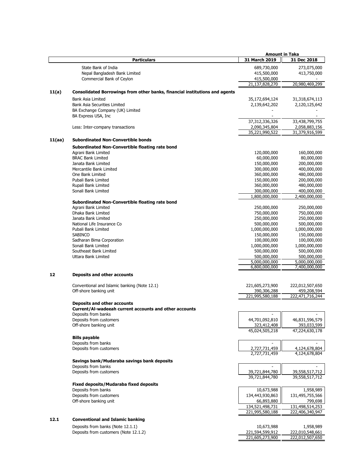|        |                                                                             | <b>Amount in Taka</b>              |                                    |
|--------|-----------------------------------------------------------------------------|------------------------------------|------------------------------------|
|        | <b>Particulars</b>                                                          | 31 March 2019                      | 31 Dec 2018                        |
|        | State Bank of India                                                         | 689,730,000                        | 273,075,000                        |
|        |                                                                             |                                    |                                    |
|        | Nepal Bangladesh Bank Limited                                               | 415,500,000                        | 413,750,000                        |
|        | Commercial Bank of Ceylon                                                   | 415,500,000<br>21,137,828,270      | 20,980,469,299                     |
|        |                                                                             |                                    |                                    |
| 11(a)  | Consolidated Borrowings from other banks, financial institutions and agents |                                    |                                    |
|        | Bank Asia Limited                                                           | 35,172,694,124                     | 31,318,674,113                     |
|        | <b>Bank Asia Securities Limited</b>                                         | 2,139,642,202                      | 2,120,125,642                      |
|        | BA Exchange Company (UK) Limited                                            |                                    |                                    |
|        | BA Express USA, Inc.                                                        |                                    |                                    |
|        |                                                                             | 37,312,336,326                     | 33,438,799,755                     |
|        | Less: Inter-company transactions                                            | 2,090,345,804                      | 2,058,883,156                      |
|        |                                                                             | 35,221,990,522                     | 31,379,916,599                     |
| 11(aa) | <b>Subordinated Non-Convertible bonds</b>                                   |                                    |                                    |
|        | Subordinated Non-Convertible floating rate bond                             |                                    |                                    |
|        | Agrani Bank Limited                                                         | 120,000,000                        | 160,000,000                        |
|        | <b>BRAC Bank Limited</b>                                                    | 60,000,000                         | 80,000,000                         |
|        | Janata Bank Limited                                                         | 150,000,000                        | 200,000,000                        |
|        | Mercantile Bank Limited                                                     | 300,000,000                        | 400,000,000                        |
|        | One Bank Limited                                                            | 360,000,000                        | 480,000,000                        |
|        | Pubali Bank Limited                                                         | 150,000,000                        | 200,000,000                        |
|        | Rupali Bank Limited                                                         | 360,000,000                        | 480,000,000                        |
|        | Sonali Bank Limited                                                         | 300,000,000                        | 400,000,000                        |
|        |                                                                             | 1,800,000,000                      | 2,400,000,000                      |
|        | Subordinated Non-Convertible floating rate bond                             |                                    |                                    |
|        | Agrani Bank Limited                                                         | 250,000,000                        | 250,000,000                        |
|        | Dhaka Bank Limited                                                          | 750,000,000                        | 750,000,000                        |
|        | Janata Bank Limited                                                         | 250,000,000                        | 250,000,000                        |
|        | National Life Insurance Co                                                  | 500,000,000                        | 500,000,000                        |
|        | Pubali Bank Limited                                                         | 1,000,000,000                      | 1,000,000,000                      |
|        | <b>SABINCO</b>                                                              | 150,000,000                        | 150,000,000                        |
|        | Sadharan Bima Corporation                                                   | 100,000,000                        | 100,000,000                        |
|        | Sonali Bank Limited                                                         | 1,000,000,000                      | 1,000,000,000                      |
|        | Southeast Bank Limited                                                      | 500,000,000                        | 500,000,000                        |
|        | Uttara Bank Limited                                                         | 500,000,000                        | 500,000,000                        |
|        |                                                                             | 5,000,000,000                      | 5,000,000,000                      |
|        |                                                                             | 6,800,000,000                      | 7,400,000,000                      |
| 12     | <b>Deposits and other accounts</b>                                          |                                    |                                    |
|        |                                                                             |                                    |                                    |
|        | Conventional and Islamic banking (Note 12.1)                                | 221,605,273,900                    | 222,012,507,650                    |
|        | Off-shore banking unit                                                      | 390,306,288                        | 459,208,594                        |
|        |                                                                             | 221,995,580,188                    | 222,471,716,244                    |
|        | <b>Deposits and other accounts</b>                                          |                                    |                                    |
|        | Current/Al-wadeeah current accounts and other accounts                      |                                    |                                    |
|        | Deposits from banks                                                         | $\overline{\phantom{a}}$           |                                    |
|        | Deposits from customers                                                     | 44,701,092,810                     | 46,831,596,579                     |
|        | Off-shore banking unit                                                      | 323,412,408                        | 393,033,599                        |
|        |                                                                             | 45,024,505,218                     | 47,224,630,178                     |
|        | <b>Bills payable</b>                                                        |                                    |                                    |
|        | Deposits from banks                                                         |                                    |                                    |
|        | Deposits from customers                                                     | 2,727,731,459                      | 4,124,678,804                      |
|        |                                                                             | 2,727,731,459                      | 4,124,678,804                      |
|        | Savings bank/Mudaraba savings bank deposits                                 |                                    |                                    |
|        | Deposits from banks                                                         |                                    |                                    |
|        | Deposits from customers                                                     | 39,721,844,780                     | 39,558,517,712                     |
|        |                                                                             | 39,721,844,780                     | 39,558,517,712                     |
|        | Fixed deposits/Mudaraba fixed deposits                                      |                                    |                                    |
|        | Deposits from banks                                                         | 10,673,988                         | 1,958,989                          |
|        | Deposits from customers                                                     | 134,443,930,863                    | 131,495,755,566                    |
|        | Off-shore banking unit                                                      | 66,893,880                         | 799,698                            |
|        |                                                                             | 134,521,498,731                    | 131,498,514,253                    |
|        |                                                                             | 221,995,580,188                    | 222,406,340,947                    |
| 12.1   | <b>Conventional and Islamic banking</b>                                     |                                    |                                    |
|        | Deposits from banks (Note 12.1.1)                                           |                                    |                                    |
|        |                                                                             | 10,673,988                         | 1,958,989                          |
|        | Deposits from customers (Note 12.1.2)                                       | 221,594,599,912<br>221,605,273,900 | 222,010,548,661<br>222,012,507,650 |
|        |                                                                             |                                    |                                    |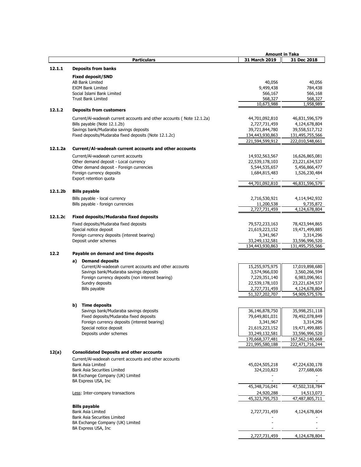|         |                                                                                    | <b>Amount in Taka</b>           |                                 |
|---------|------------------------------------------------------------------------------------|---------------------------------|---------------------------------|
|         | <b>Particulars</b>                                                                 | 31 March 2019                   | 31 Dec 2018                     |
| 12.1.1  | <b>Deposits from banks</b>                                                         |                                 |                                 |
|         |                                                                                    |                                 |                                 |
|         | <b>Fixed deposit/SND</b>                                                           |                                 |                                 |
|         | AB Bank Limited                                                                    | 40,056                          | 40,056                          |
|         | <b>EXIM Bank Limited</b>                                                           | 9,499,438                       | 784,438                         |
|         | Social Islami Bank Limited                                                         | 566,167                         | 566,168                         |
|         | <b>Trust Bank Limited</b>                                                          | 568,327                         | 568,327                         |
|         |                                                                                    | 10,673,988                      | 1,958,989                       |
| 12.1.2  | <b>Deposits from customers</b>                                                     |                                 |                                 |
|         | Current/AI-wadeeah current accounts and other accounts (Note 12.1.2a)              | 44,701,092,810                  | 46,831,596,579                  |
|         | Bills payable (Note 12.1.2b)                                                       | 2,727,731,459                   | 4,124,678,804                   |
|         | Savings bank/Mudaraba savings deposits                                             | 39,721,844,780                  | 39,558,517,712                  |
|         | Fixed deposits/Mudaraba fixed deposits (Note 12.1.2c)                              | 134,443,930,863                 | 131,495,755,566                 |
|         |                                                                                    | 221,594,599,912                 | 222,010,548,661                 |
| 12.1.2a | Current/Al-wadeeah current accounts and other accounts                             |                                 |                                 |
|         |                                                                                    |                                 |                                 |
|         | Current/Al-wadeeah current accounts                                                | 14,932,563,567                  | 16,626,865,081                  |
|         | Other demand deposit - Local currency<br>Other demand deposit - Foreign currencies | 22,539,178,103<br>5,544,535,657 | 23,221,634,537                  |
|         | Foreign currency deposits                                                          | 1,684,815,483                   | 5,456,866,477<br>1,526,230,484  |
|         | Export retention quota                                                             |                                 |                                 |
|         |                                                                                    | 44,701,092,810                  | 46,831,596,579                  |
|         |                                                                                    |                                 |                                 |
| 12.1.2b | <b>Bills payable</b>                                                               |                                 |                                 |
|         | Bills payable - local currency                                                     | 2,716,530,921                   | 4,114,942,932                   |
|         | Bills payable - foreign currencies                                                 | 11,200,538                      | 9,735,872                       |
|         |                                                                                    | 2,727,731,459                   | 4,124,678,804                   |
| 12.1.2c | <b>Fixed deposits/Mudaraba fixed deposits</b>                                      |                                 |                                 |
|         | Fixed deposits/Mudaraba fixed deposits                                             | 79,572,233,163                  | 78,423,944,865                  |
|         | Special notice deposit                                                             | 21,619,223,152                  | 19,471,499,885                  |
|         | Foreign currency deposits (interest bearing)                                       | 3,341,967                       | 3,314,296                       |
|         | Deposit under schemes                                                              | 33,249,132,581                  | 33,596,996,520                  |
|         |                                                                                    | 134,443,930,863                 | 131,495,755,566                 |
| 12.2    | Payable on demand and time deposits                                                |                                 |                                 |
|         |                                                                                    |                                 |                                 |
|         | a) Demand deposits                                                                 |                                 |                                 |
|         | Current/Al-wadeeah current accounts and other accounts                             | 15,255,975,975                  | 17,019,898,680                  |
|         | Savings bank/Mudaraba savings deposits                                             | 3,574,966,030                   | 3,560,266,594                   |
|         | Foreign currency deposits (non interest bearing)                                   | 7,229,351,140                   | 6,983,096,961                   |
|         | Sundry deposits<br>Bills payable                                                   | 22,539,178,103<br>2,727,731,459 | 23,221,634,537<br>4,124,678,804 |
|         |                                                                                    | 51,327,202,707                  | 54,909,575,576                  |
|         |                                                                                    |                                 |                                 |
|         | <b>Time deposits</b><br>b)                                                         |                                 |                                 |
|         | Savings bank/Mudaraba savings deposits                                             | 36,146,878,750                  | 35,998,251,118                  |
|         | Fixed deposits/Mudaraba fixed deposits                                             | 79,649,801,031                  | 78,492,078,849                  |
|         | Foreign currency deposits (interest bearing)                                       | 3,341,967                       | 3,314,296                       |
|         | Special notice deposit                                                             | 21,619,223,152                  | 19,471,499,885                  |
|         | Deposits under schemes                                                             | 33,249,132,581                  | 33,596,996,520                  |
|         |                                                                                    | 170,668,377,481                 | 167,562,140,668                 |
|         |                                                                                    | 221,995,580,188                 | 222,471,716,244                 |
| 12(a)   | <b>Consolidated Deposits and other accounts</b>                                    |                                 |                                 |
|         |                                                                                    |                                 |                                 |
|         | Current/Al-wadeeah current accounts and other accounts<br>Bank Asia Limited        |                                 |                                 |
|         | Bank Asia Securities Limited                                                       | 45,024,505,218<br>324,210,823   | 47,224,630,178<br>277,688,606   |
|         | BA Exchange Company (UK) Limited                                                   |                                 |                                 |
|         | BA Express USA, Inc                                                                |                                 |                                 |
|         |                                                                                    | 45,348,716,041                  | 47,502,318,784                  |
|         | Less: Inter-company transactions                                                   | 24,920,288                      | 14,513,073                      |
|         |                                                                                    | 45,323,795,753                  | 47,487,805,711                  |
|         |                                                                                    |                                 |                                 |
|         | <b>Bills payable</b>                                                               |                                 |                                 |
|         | Bank Asia Limited                                                                  | 2,727,731,459                   | 4,124,678,804                   |
|         | Bank Asia Securities Limited                                                       |                                 |                                 |
|         | BA Exchange Company (UK) Limited                                                   |                                 |                                 |
|         | BA Express USA, Inc.                                                               |                                 |                                 |
|         |                                                                                    | 2,727,731,459                   | 4,124,678,804                   |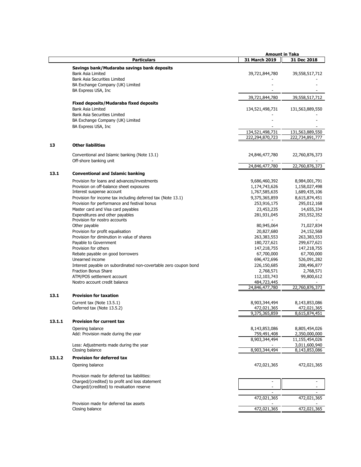|        |                                                                                                 | <b>Amount in Taka</b>    |                         |
|--------|-------------------------------------------------------------------------------------------------|--------------------------|-------------------------|
|        | <b>Particulars</b>                                                                              | 31 March 2019            | 31 Dec 2018             |
|        | Savings bank/Mudaraba savings bank deposits                                                     |                          |                         |
|        | Bank Asia Limited                                                                               | 39,721,844,780           | 39,558,517,712          |
|        | <b>Bank Asia Securities Limited</b>                                                             |                          |                         |
|        | BA Exchange Company (UK) Limited                                                                |                          |                         |
|        | BA Express USA, Inc                                                                             |                          |                         |
|        |                                                                                                 | 39,721,844,780           | 39,558,517,712          |
|        | <b>Fixed deposits/Mudaraba fixed deposits</b>                                                   |                          |                         |
|        | Bank Asia Limited                                                                               | 134,521,498,731          | 131,563,889,550         |
|        | <b>Bank Asia Securities Limited</b>                                                             |                          |                         |
|        | BA Exchange Company (UK) Limited                                                                |                          |                         |
|        | BA Express USA, Inc                                                                             |                          |                         |
|        |                                                                                                 | 134,521,498,731          | 131,563,889,550         |
|        |                                                                                                 | 222,294,870,723          | 222,734,891,777         |
| 13     | <b>Other liabilities</b>                                                                        |                          |                         |
|        |                                                                                                 |                          |                         |
|        | Conventional and Islamic banking (Note 13.1)                                                    | 24,846,477,780           | 22,760,876,373          |
|        | Off-shore banking unit                                                                          |                          |                         |
|        |                                                                                                 | 24,846,477,780           | 22,760,876,373          |
| 13.1   | <b>Conventional and Islamic banking</b>                                                         |                          |                         |
|        | Provision for loans and advances/investments                                                    | 9,686,460,392            | 8,984,001,791           |
|        | Provision on off-balance sheet exposures                                                        | 1,174,743,626            | 1,158,027,498           |
|        | Interest suspense account                                                                       | 1,767,585,635            | 1,689,435,106           |
|        | Provision for income tax including deferred tax (Note 13.1)                                     | 9,375,365,859            | 8,615,874,451           |
|        | Provision for performance and festival bonus                                                    | 253,916,175              | 295,012,168             |
|        | Master card and Visa card payables                                                              | 23,453,235               | 14,655,334              |
|        | Expenditures and other payables                                                                 | 281,931,045              | 293,552,352             |
|        | Provision for nostro accounts                                                                   |                          |                         |
|        | Other payable                                                                                   | 80,945,064               | 71,027,834              |
|        | Provision for profit equalisation                                                               | 20,827,680               | 24,152,568              |
|        | Provision for diminution in value of shares                                                     | 263,383,553              | 263,383,553             |
|        | Payable to Government                                                                           | 180,727,621              | 299,677,621             |
|        | Provision for others                                                                            | 147,218,755              | 147,218,755             |
|        | Rebate payable on good borrowers                                                                | 67,700,000               | 67,700,000              |
|        | Unearned income                                                                                 | 696,472,696              | 526,091,282             |
|        | Interest payable on subordinated non-covertable zero coupon bond<br><b>Fraction Bonus Share</b> | 226,150,685              | 208,496,877             |
|        | ATM/POS settlement account                                                                      | 2,768,571<br>112,103,743 | 2,768,571<br>99,800,612 |
|        | Nostro account credit balance                                                                   | 484,723,445              |                         |
|        |                                                                                                 | 24,846,477,780           | 22,760,876,373          |
|        |                                                                                                 |                          |                         |
| 13.1   | <b>Provision for taxation</b>                                                                   |                          |                         |
|        | Current tax (Note 13.5.1)                                                                       | 8,903,344,494            | 8,143,853,086           |
|        | Deferred tax (Note 13.5.2)                                                                      | 472,021,365              | 472,021,365             |
|        |                                                                                                 | 9,375,365,859            | 8,615,874,451           |
| 13.1.1 | <b>Provision for current tax</b>                                                                |                          |                         |
|        | Opening balance                                                                                 | 8,143,853,086            | 8,805,454,026           |
|        | Add: Provision made during the year                                                             | 759,491,408              | 2,350,000,000           |
|        |                                                                                                 | 8,903,344,494            | 11,155,454,026          |
|        | Less: Adjustments made during the year                                                          |                          | 3,011,600,940           |
|        | Closing balance                                                                                 | 8,903,344,494            | 8,143,853,086           |
| 13.1.2 | <b>Provision for deferred tax</b>                                                               |                          |                         |
|        | Opening balance                                                                                 | 472,021,365              | 472,021,365             |
|        | Provision made for deferred tax liabilities:                                                    |                          |                         |
|        | Charged/(credited) to profit and loss statement                                                 | $\sim$                   | $\sim$                  |
|        | Charged/(credited) to revaluation reserve                                                       |                          |                         |
|        |                                                                                                 |                          |                         |
|        |                                                                                                 | 472,021,365              | 472,021,365             |
|        | Provision made for deferred tax assets                                                          |                          |                         |
|        | Closing balance                                                                                 | 472,021,365              | 472,021,365             |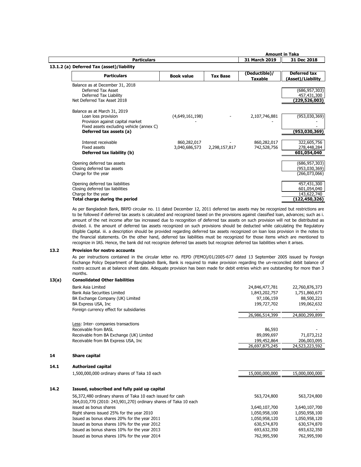|                                           |                   |                 |                | <b>Amount in Taka</b>      |
|-------------------------------------------|-------------------|-----------------|----------------|----------------------------|
| <b>Particulars</b>                        |                   |                 | 31 March 2019  | 31 Dec 2018                |
| 13.1.2 (a) Deferred Tax (asset)/liability |                   |                 |                |                            |
| <b>Particulars</b>                        | <b>Book value</b> | <b>Tax Base</b> | (Deductible)/  | Deferred tax               |
|                                           |                   |                 | <b>Taxable</b> | (Asset)/Liability          |
| Balance as at December 31, 2018           |                   |                 |                |                            |
| Deferred Tax Asset                        |                   |                 |                | (686, 957, 303)            |
| Deferred Tax Liability                    |                   |                 |                | 457,431,300                |
| Net Deferred Tax Asset 2018               |                   |                 |                | (229,526,003)              |
| Balance as at March 31, 2019              |                   |                 |                |                            |
| Loan loss provision                       | (4,649,161,198)   |                 | 2,107,746,881  | (953,030,369)              |
| Provision against capital market          |                   |                 |                |                            |
| Fixed assets excluding vehicle (annex C)  |                   |                 |                |                            |
| Deferred tax assets (a)                   |                   |                 |                | (953,030,369)              |
| Interest receivable                       |                   |                 |                |                            |
| Fixed assets                              | 860,282,017       |                 | 860,282,017    | 322,605,756                |
| Deferred tax liability (b)                | 3,040,686,573     | 2,298,157,817   | 742,528,756    | 278,448,284<br>601,054,040 |
|                                           |                   |                 |                |                            |
| Opening deferred tax assets               |                   |                 |                | (686, 957, 303)            |
| Closing deferred tax assets               |                   |                 |                | (953,030,369)              |
| Charge for the year                       |                   |                 |                | (266,073,066)              |
| Opening deferred tax liabilities          |                   |                 |                | 457,431,300                |
| Closing deferred tax liabilities          |                   |                 |                | 601,054,040                |
| Charge for the year                       |                   |                 |                | 143,622,740                |
| Total charge during the period            |                   |                 |                | (122,450,326)              |

As per Bangladesh Bank, BRPD circular no. 11 dated December 12, 2011 deferred tax assets may be recognized but restrictions are to be followed if deferred tax assets is calculated and recognized based on the provisions against classified loan, advances; such as i. amount of the net income after tax increased due to recognition of deferred tax assets on such provision will not be distributed as divided. ii. the amount of deferred tax assets recognized on such provisions should be deducted while calculating the Regulatory Eligible Capital. iii. a description should be provided regarding deferred tax assets recognized on loan loss provision in the notes to the financial statements. On the other hand, deferred tax liabilities must be recognized for those items which are mentioned to recognize in IAS. Hence, the bank did not recognize deferred tax assets but recognize deferred tax liabilities when it arises.

### **13.2 Provision for nostro accounts**

As per instructions contained in the circular letter no. FEPD (FEMO)/01/2005-677 dated 13 September 2005 issued by Foreign Exchange Policy Department of Bangladesh Bank, Bank is required to make provision regarding the un-reconciled debit balance of nostro account as at balance sheet date. Adequate provision has been made for debit entries which are outstanding for more than 3 months. Details of unrecognized entries are shown in Annex II.

| 13(a) | <b>Consolidated Other liabilities</b>                           |                |                |
|-------|-----------------------------------------------------------------|----------------|----------------|
|       | Bank Asia Limited                                               | 24,846,477,781 | 22,760,876,373 |
|       | Bank Asia Securities Limited                                    | 1,843,202,757  | 1,751,860,673  |
|       | BA Exchange Company (UK) Limited                                | 97,106,159     | 88,500,221     |
|       | BA Express USA, Inc.                                            | 199,727,702    | 199,062,632    |
|       | Foreign currency effect for subsidiaries                        |                |                |
|       |                                                                 | 26,986,514,399 | 24,800,299,899 |
|       | Less: Inter-companies transactions                              |                |                |
|       | Receivable from BASL                                            | 86,593         |                |
|       | Receivable from BA Exchange (UK) Limited                        | 89,099,697     | 71,073,212     |
|       | Receivable from BA Express USA, Inc.                            | 199,452,864    | 206,003,095    |
|       |                                                                 | 26,697,875,245 | 24,523,223,592 |
| 14    | <b>Share capital</b>                                            |                |                |
| 14.1  | <b>Authorized capital</b>                                       |                |                |
|       | 1,500,000,000 ordinary shares of Taka 10 each                   | 15,000,000,000 | 15,000,000,000 |
| 14.2  | Issued, subscribed and fully paid up capital                    |                |                |
|       | 56,372,480 ordinary shares of Taka 10 each issued for cash      | 563,724,800    | 563,724,800    |
|       | 364,010,770 (2010: 243,901,270) ordinary shares of Taka 10 each |                |                |
|       | issued as bonus shares                                          | 3,640,107,700  | 3,640,107,700  |
|       | Right shares issued 25% for the year 2010                       | 1,050,958,100  | 1,050,958,100  |
|       | Issued as bonus shares 20% for the year 2011                    | 1,050,958,120  | 1,050,958,120  |
|       | Issued as bonus shares 10% for the year 2012                    | 630,574,870    | 630,574,870    |
|       | Issued as bonus shares 10% for the year 2013                    | 693,632,350    | 693,632,350    |
|       | Issued as bonus shares 10% for the year 2014                    | 762,995,590    | 762,995,590    |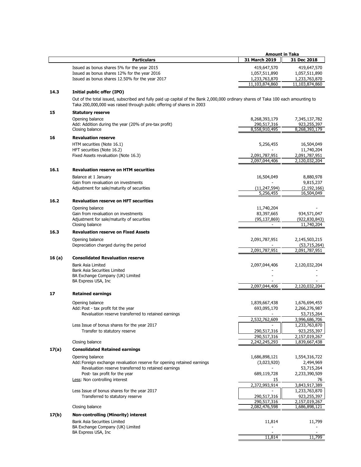|        |                                                                                                                                                                                                            | <b>Amount in Taka</b> |                              |
|--------|------------------------------------------------------------------------------------------------------------------------------------------------------------------------------------------------------------|-----------------------|------------------------------|
|        | <b>Particulars</b>                                                                                                                                                                                         | 31 March 2019         | 31 Dec 2018                  |
|        |                                                                                                                                                                                                            |                       |                              |
|        | Issued as bonus shares 5% for the year 2015                                                                                                                                                                | 419,647,570           | 419,647,570                  |
|        | Issued as bonus shares 12% for the year 2016                                                                                                                                                               | 1,057,511,890         | 1,057,511,890                |
|        | Issued as bonus shares 12.50% for the year 2017                                                                                                                                                            | 1,233,763,870         | 1,233,763,870                |
|        |                                                                                                                                                                                                            | 11,103,874,860        | 11,103,874,860               |
| 14.3   | Initial public offer (IPO)                                                                                                                                                                                 |                       |                              |
|        | Out of the total issued, subscribed and fully paid up capital of the Bank 2,000,000 ordinary shares of Taka 100 each amounting to<br>Taka 200,000,000 was raised through public offering of shares in 2003 |                       |                              |
| 15     | <b>Statutory reserve</b>                                                                                                                                                                                   |                       |                              |
|        | Opening balance                                                                                                                                                                                            | 8,268,393,179         |                              |
|        | Add: Addition during the year (20% of pre-tax profit)                                                                                                                                                      | 290,517,316           | 7,345,137,782<br>923,255,397 |
|        | Closing balance                                                                                                                                                                                            | 8,558,910,495         | 8,268,393,179                |
|        |                                                                                                                                                                                                            |                       |                              |
| 16     | <b>Revaluation reserve</b>                                                                                                                                                                                 |                       |                              |
|        | HTM securities (Note 16.1)                                                                                                                                                                                 | 5,256,455             | 16,504,049                   |
|        | HFT securities (Note 16.2)                                                                                                                                                                                 |                       | 11,740,204                   |
|        | Fixed Assets revaluation (Note 16.3)                                                                                                                                                                       | 2,091,787,951         | 2,091,787,951                |
|        |                                                                                                                                                                                                            | 2,097,044,406         | 2,120,032,204                |
| 16.1   | <b>Revaluation reserve on HTM securities</b>                                                                                                                                                               |                       |                              |
|        | Balance at 1 January                                                                                                                                                                                       |                       |                              |
|        | Gain from revaluation on investments                                                                                                                                                                       | 16,504,049            | 8,880,978<br>9,815,237       |
|        | Adjustment for sale/maturity of securities                                                                                                                                                                 | (11, 247, 594)        | (2, 192, 166)                |
|        |                                                                                                                                                                                                            | 5,256,455             | 16,504,049                   |
|        |                                                                                                                                                                                                            |                       |                              |
| 16.2   | <b>Revaluation reserve on HFT securities</b>                                                                                                                                                               |                       |                              |
|        | Opening balance                                                                                                                                                                                            | 11,740,204            |                              |
|        | Gain from revaluation on investments                                                                                                                                                                       | 83,397,665            | 934,571,047                  |
|        | Adjustment for sale/maturity of securities                                                                                                                                                                 | (95, 137, 869)        | (922,830,843)                |
|        | Closing balance                                                                                                                                                                                            |                       | 11,740,204                   |
| 16.3   | <b>Revaluation reserve on Fixed Assets</b>                                                                                                                                                                 |                       |                              |
|        | Opening balance                                                                                                                                                                                            | 2,091,787,951         | 2,145,503,215                |
|        | Depreciation charged during the period                                                                                                                                                                     |                       | (53,715,264)                 |
|        |                                                                                                                                                                                                            | 2,091,787,951         | 2,091,787,951                |
| 16 (a) | <b>Consolidated Revaluation reserve</b>                                                                                                                                                                    |                       |                              |
|        |                                                                                                                                                                                                            |                       |                              |
|        | Bank Asia Limited<br>Bank Asia Securities Limited                                                                                                                                                          | 2,097,044,406         | 2,120,032,204                |
|        | BA Exchange Company (UK) Limited                                                                                                                                                                           |                       |                              |
|        | BA Express USA, Inc                                                                                                                                                                                        |                       |                              |
|        |                                                                                                                                                                                                            | 2,097,044,406         | 2,120,032,204                |
| 17     | <b>Retained earnings</b>                                                                                                                                                                                   |                       |                              |
|        |                                                                                                                                                                                                            |                       |                              |
|        | Opening balance                                                                                                                                                                                            | 1,839,667,438         | 1,676,694,455                |
|        | Add: Post - tax profit fot the year                                                                                                                                                                        | 693,095,170           | 2,266,276,987                |
|        | Revaluation reserve transferred to retained earnings                                                                                                                                                       |                       | 53,715,264                   |
|        |                                                                                                                                                                                                            | 2,532,762,609         | 3,996,686,706                |
|        | Less Issue of bonus shares for the year 2017                                                                                                                                                               |                       | 1,233,763,870                |
|        | Transfer to statutory reserve                                                                                                                                                                              | 290,517,316           | 923,255,397                  |
|        |                                                                                                                                                                                                            | 290,517,316           | 2,157,019,267                |
|        | Closing balance                                                                                                                                                                                            | 2,242,245,293         | 1,839,667,438                |
| 17(a)  | <b>Consolidated Retained earnings</b>                                                                                                                                                                      |                       |                              |
|        | Opening balance                                                                                                                                                                                            | 1,686,898,121         | 1,554,316,722                |
|        | Add: Foreign exchange revaluation reserve for opening retained earnings                                                                                                                                    | (3,023,920)           | 2,494,969                    |
|        | Revaluation reserve transferred to retained earnings                                                                                                                                                       |                       | 53,715,264                   |
|        | Post- tax profit for the year                                                                                                                                                                              | 689,119,728           | 2,233,390,509                |
|        | Less: Non controlling interest                                                                                                                                                                             | 15                    | 76                           |
|        |                                                                                                                                                                                                            | 2,372,993,914         | 3,843,917,389                |
|        | Less Issue of bonus shares for the year 2017                                                                                                                                                               |                       | 1,233,763,870                |
|        | Transferred to statutory reserve                                                                                                                                                                           | 290,517,316           | 923,255,397                  |
|        |                                                                                                                                                                                                            | 290,517,316           | 2,157,019,267                |
|        | Closing balance                                                                                                                                                                                            | 2,082,476,598         | 1,686,898,121                |
| 17(b)  | Non-controlling (Minority) interest                                                                                                                                                                        |                       |                              |
|        | <b>Bank Asia Securities Limited</b>                                                                                                                                                                        | 11,814                | 11,799                       |
|        | BA Exchange Company (UK) Limited                                                                                                                                                                           |                       |                              |
|        | BA Express USA, Inc                                                                                                                                                                                        |                       |                              |
|        |                                                                                                                                                                                                            | 11,814                | 11,799                       |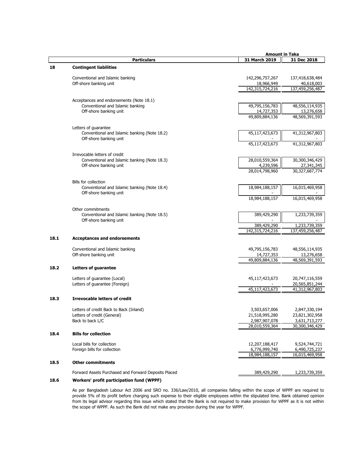|      |                                                                              |                 | <b>Amount in Taka</b> |
|------|------------------------------------------------------------------------------|-----------------|-----------------------|
|      | <b>Particulars</b>                                                           | 31 March 2019   | 31 Dec 2018           |
| 18   | <b>Contingent liabilities</b>                                                |                 |                       |
|      |                                                                              |                 |                       |
|      | Conventional and Islamic banking                                             | 142,296,757,267 | 137,418,638,484       |
|      | Off-shore banking unit                                                       | 18,966,949      | 40,618,003            |
|      |                                                                              | 142,315,724,216 | 137,459,256,487       |
|      |                                                                              |                 |                       |
|      | Acceptances and endorsements (Note 18.1)<br>Conventional and Islamic banking | 49,795,156,783  | 48,556,114,935        |
|      | Off-shore banking unit                                                       | 14,727,353      | 13,276,658            |
|      |                                                                              | 49,809,884,136  | 48,569,391,593        |
|      |                                                                              |                 |                       |
|      | Letters of guarantee                                                         |                 |                       |
|      | Conventional and Islamic banking (Note 18.2)                                 | 45,117,423,673  | 41,312,967,803        |
|      | Off-shore banking unit                                                       | 45,117,423,673  |                       |
|      |                                                                              |                 | 41,312,967,803        |
|      | Irrevocable letters of credit                                                |                 |                       |
|      | Conventional and Islamic banking (Note 18.3)                                 | 28,010,559,364  | 30,300,346,429        |
|      | Off-shore banking unit                                                       | 4,239,596       | 27,341,345            |
|      |                                                                              | 28,014,798,960  | 30,327,687,774        |
|      | Bills for collection                                                         |                 |                       |
|      | Conventional and Islamic banking (Note 18.4)                                 | 18,984,188,157  | 16,015,469,958        |
|      | Off-shore banking unit                                                       |                 |                       |
|      |                                                                              | 18,984,188,157  | 16,015,469,958        |
|      |                                                                              |                 |                       |
|      | Other commitments<br>Conventional and Islamic banking (Note 18.5)            | 389,429,290     | 1,233,739,359         |
|      | Off-shore banking unit                                                       |                 |                       |
|      |                                                                              | 389,429,290     | 1,233,739,359         |
|      |                                                                              | 142,315,724,216 | 137,459,256,487       |
| 18.1 | <b>Acceptances and endorsements</b>                                          |                 |                       |
|      |                                                                              |                 |                       |
|      | Conventional and Islamic banking                                             | 49,795,156,783  | 48,556,114,935        |
|      | Off-shore banking unit                                                       | 14,727,353      | 13,276,658            |
|      |                                                                              | 49,809,884,136  | 48,569,391,593        |
| 18.2 | Letters of guarantee                                                         |                 |                       |
|      |                                                                              |                 |                       |
|      | Letters of guarantee (Local)                                                 | 45,117,423,673  | 20,747,116,559        |
|      | Letters of guarantee (Foreign)                                               |                 | 20,565,851,244        |
|      |                                                                              | 45,117,423,673  | 41,312,967,803        |
| 18.3 | <b>Irrevocable letters of credit</b>                                         |                 |                       |
|      | Letters of credit Back to Back (Inland)                                      | 3,503,657,006   | 2,847,330,194         |
|      | Letters of credit (General)                                                  | 21,518,995,280  | 23,821,302,958        |
|      | Back to back L/C                                                             | 2,987,907,078   | 3,631,713,277         |
|      |                                                                              | 28,010,559,364  | 30,300,346,429        |
| 18.4 | <b>Bills for collection</b>                                                  |                 |                       |
|      |                                                                              |                 |                       |
|      | Local bills for collection                                                   | 12,207,188,417  | 9,524,744,721         |
|      | Foreign bills for collection                                                 | 6,776,999,740   | 6,490,725,237         |
|      |                                                                              | 18,984,188,157  | 16,015,469,958        |
| 18.5 | <b>Other commitments</b>                                                     |                 |                       |
|      |                                                                              |                 |                       |
|      | Forward Assets Purchased and Forward Deposits Placed                         | 389,429,290     | 1,233,739,359         |

### **18.6 Workers' profit participation fund (WPPF)**

As per Bangladesh Labour Act 2006 and SRO no. 336/Law/2010, all companies falling within the scope of WPPF are required to provide 5% of its profit before charging such expense to their eligible employees within the stipulated time. Bank obtained opinion from its legal advisor regarding this issue which stated that the Bank is not required to make provision for WPPF as it is not within the scope of WPPF. As such the Bank did not make any provision during the year for WPPF.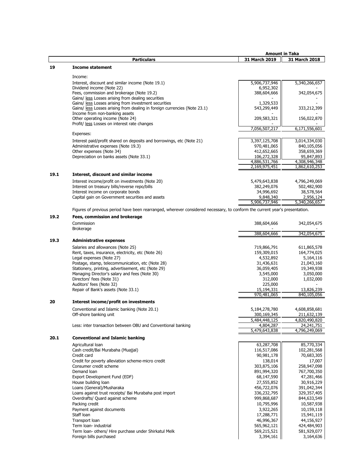|      |                                                                                                                             | <b>Amount in Taka</b>    |               |
|------|-----------------------------------------------------------------------------------------------------------------------------|--------------------------|---------------|
|      | <b>Particulars</b>                                                                                                          | 31 March 2019            | 31 March 2018 |
| 19   | <b>Income statement</b>                                                                                                     |                          |               |
|      | Income:                                                                                                                     |                          |               |
|      |                                                                                                                             |                          |               |
|      | Interest, discount and similar income (Note 19.1)                                                                           | 5,906,737,946            | 5,340,266,657 |
|      | Dividend income (Note 22)<br>Fees, commission and brokerage (Note 19.2)                                                     | 6,952,302<br>388,604,666 |               |
|      | Gains/ less Losses arising from dealing securities                                                                          |                          | 342,054,675   |
|      | Gains/ less Losses arising from investment securities                                                                       | 1,329,533                |               |
|      | Gains/ less Losses arising from dealing in foreign currencies (Note 23.1)                                                   | 543,299,449              | 333,212,399   |
|      | Income from non-banking assets                                                                                              |                          |               |
|      | Other operating income (Note 24)                                                                                            | 209,583,321              | 156,022,870   |
|      | Profit/ less Losses on interest rate changes                                                                                |                          |               |
|      |                                                                                                                             | 7,056,507,217            | 6,171,556,601 |
|      | Expenses:                                                                                                                   |                          |               |
|      | Interest paid/profit shared on deposits and borrowings, etc (Note 21)                                                       | 3,397,125,708            | 3,014,334,030 |
|      | Administrative expenses (Note 19.3)                                                                                         | 970,481,065              | 840,105,056   |
|      | Other expenses (Note 34)                                                                                                    | 412,652,665              | 358,659,369   |
|      | Depreciation on banks assets (Note 33.1)                                                                                    | 106,272,328              | 95,847,893    |
|      |                                                                                                                             | 4,886,531,766            | 4,308,946,348 |
|      |                                                                                                                             | 2,169,975,451            | 1,862,610,253 |
| 19.1 | Interest, discount and similar income                                                                                       |                          |               |
|      | Interest income/profit on investments (Note 20)                                                                             | 5,479,643,838            | 4,796,249,069 |
|      | Interest on treasury bills/reverse repo/bills                                                                               | 382,249,076              | 502,482,900   |
|      | Interest income on corporate bonds                                                                                          | 34,996,692               | 38,578,564    |
|      | Capital gain on Government securities and assets                                                                            | 9,848,340                | 2,956,124     |
|      |                                                                                                                             | 5,906,737,946            | 5,340,266,657 |
|      | Figures of previous period have been rearranged, wherever considered necessary, to conform the current year's presentation. |                          |               |
|      |                                                                                                                             |                          |               |
| 19.2 | Fees, commission and brokerage                                                                                              |                          |               |
|      | Commission                                                                                                                  | 388,604,666              | 342,054,675   |
|      | <b>Brokerage</b>                                                                                                            |                          |               |
|      |                                                                                                                             | 388,604,666              | 342,054,675   |
| 19.3 | <b>Administrative expenses</b>                                                                                              |                          |               |
|      | Salaries and allowances (Note 25)                                                                                           | 719,866,791              | 611,865,578   |
|      | Rent taxes insurance electricity etc (Note 26)                                                                              | 159 309 015              | 164 774 025   |

Rent, taxes, insurance, electricity, etc (Note 26) 159,309,015 159,309,015 164,774,025 Legal expenses (Note 27) 4,532,892 5,164,116 Postage, stamp, telecommunication, etc (Note 28) 31,436,631 31,436,631 21,043,160<br>
Stationery, printing, advertisement, etc (Note 29) 36,059,405 36,059,405 19,349,938 Stationery, printing, advertisement, etc (Note 29) Managing Director's salary and fees (Note 30) 3,545,000 3,545,000 3,050,000 3,050,000 3,050,000 3,050,000 3,050,000 3,050,000 3,050,000 3,050,000 5,050,000 3,050,000 5,050,000 5,050,000 5,050,000 5,050,000 5,032,000 5,032, Directors' fees (Note 31) Auditors' fees (Note 32)<br>
Repair of Bank's assets (Note 33.1)<br>
Repair of Bank's assets (Note 33.1)<br>
Repair of Bank's assets (Note 33.1)<br>
225,000<br>
225,000<br>
225,000<br>
225,000<br>
225,000<br>
225,000 Repair of Bank's assets (Note 33.1) 15,194,331<br>970,481,065

### **20 Interest income/profit on investments**

Conventional and Islamic banking (Note 20.1) 5,184,278,780 4,608,858,681<br>Off-shore banking unit 300,169,345 211,632,139 Off-shore banking unit 211,632,139<br>
300,169,345 211,632,139<br>
5,484,448,125 4,820,490,820 5,484,448,125

5,479,643,838

Less: inter transaction between OBU and Conventional banking  $\overline{4,804,287}$   $\overline{4,804,287}$   $\overline{24,241,751}$ <br>5,479,643,838  $\overline{4,796,249,069}$ 

### **20.1 Conventional and Islamic banking**

| Agricultural loan                                      | 63,287,708  | 85,770,334  |
|--------------------------------------------------------|-------------|-------------|
| Cash credit/Bai Murabaha (Muajjal)                     | 116,517,086 | 102,281,568 |
| Credit card                                            | 90,981,178  | 70,683,305  |
| Credit for poverty alleviation scheme-micro credit     | 138,014     | 17,007      |
| Consumer credit scheme                                 | 303,875,106 | 258,947,098 |
| Demand loan                                            | 891,994,320 | 767,700,350 |
| Export Development Fund (EDF)                          | 68,147,590  | 47,281,466  |
| House building loan                                    | 27,555,852  | 30,916,229  |
| Loans (General)/Musharaka                              | 456,722,076 | 391,042,344 |
| Loans against trust receipts/ Bai Murabaha post import | 336,232,795 | 329,357,405 |
| Overdrafts/ Quard against scheme                       | 999,868,687 | 844,633,549 |
| Packing credit                                         | 10,795,996  | 10,587,938  |
| Payment against documents                              | 3,922,265   | 10,159,118  |
| Staff Ioan                                             | 17,288,771  | 15,941,119  |
| Transport loan                                         | 46,996,367  | 44,156,927  |
| Term Joan- industrial                                  | 565,962,121 | 424,484,903 |
| Term Ioan- others/ Hire purchase under Shirkatul Melk  | 569,215,521 | 581,929,077 |
| Foreign bills purchased                                | 3,394,161   | 3,164,636   |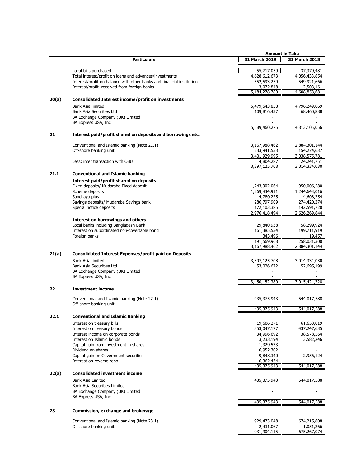|       |                                                                        | <b>Amount in Taka</b>    |               |
|-------|------------------------------------------------------------------------|--------------------------|---------------|
|       | <b>Particulars</b>                                                     | 31 March 2019            | 31 March 2018 |
|       |                                                                        |                          |               |
|       | Local bills purchased                                                  | 55,717,059               | 37,379,481    |
|       | Total interest/profit on loans and advances/investments                | 4,628,612,673            | 4,056,433,854 |
|       | Interest/profit on balance with other banks and financial institutions | 552,593,259              | 549,921,666   |
|       | Interest/profit received from foreign banks                            | 3,072,848                | 2,503,161     |
|       |                                                                        | 5,184,278,780            | 4,608,858,681 |
| 20(a) | <b>Consolidated Interest income/profit on investments</b>              |                          |               |
|       | Bank Asia limited                                                      | 5,479,643,838            | 4,796,249,069 |
|       | Bank Asia Securities Ltd                                               | 109,816,437              | 68,460,888    |
|       | BA Exchange Company (UK) Limited                                       |                          |               |
|       | BA Express USA, Inc.                                                   |                          |               |
|       |                                                                        | 5,589,460,275            | 4,813,105,056 |
| 21    | Interest paid/profit shared on deposits and borrowings etc.            |                          |               |
|       | Conventional and Islamic banking (Note 21.1)                           | 3,167,988,462            | 2,884,301,144 |
|       | Off-shore banking unit                                                 | 233,941,533              | 154,274,637   |
|       |                                                                        | 3,401,929,995            | 3,038,575,781 |
|       | Less: inter transaction with OBU                                       | 4,804,287                | 24,241,751    |
|       |                                                                        | 3,397,125,708            | 3,014,334,030 |
|       |                                                                        |                          |               |
| 21.1  | <b>Conventional and Islamic banking</b>                                |                          |               |
|       | Interest paid/profit shared on deposits                                |                          |               |
|       | Fixed deposits/ Mudaraba Fixed deposit                                 | 1,243,302,064            | 950,006,580   |
|       | Scheme deposits                                                        | 1,269,434,911            | 1,244,643,016 |
|       | Sanchaya plus                                                          | 4,780,225                | 14,608,254    |
|       | Savings deposits/ Mudaraba Savings bank                                | 286,797,909              | 274,420,274   |
|       | Special notice deposits                                                | 172,103,385              | 142,591,720   |
|       |                                                                        | 2,976,418,494            | 2,626,269,844 |
|       | <b>Interest on borrowings and others</b>                               |                          |               |
|       | Local banks including Bangladesh Bank                                  | 29,840,938               | 58,299,924    |
|       | Interest on subordinated non-covertable bond                           | 161,385,534              | 199,711,919   |
|       | Foreign banks                                                          | 343,496                  | 19,457        |
|       |                                                                        | 191,569,968              | 258,031,300   |
|       |                                                                        | 3,167,988,462            | 2,884,301,144 |
| 21(a) | <b>Consolidated Interest Expenses/profit paid on Deposits</b>          |                          |               |
|       | Bank Asia limited                                                      | 3,397,125,708            | 3,014,334,030 |
|       | Bank Asia Securities Ltd                                               | 53,026,672               | 52,695,199    |
|       | BA Exchange Company (UK) Limited                                       |                          |               |
|       | BA Express USA, Inc.                                                   |                          |               |
|       |                                                                        | 3,450,152,380            | 3,015,424,328 |
|       |                                                                        |                          |               |
| 22    | <b>Investment income</b>                                               |                          |               |
|       | Conventional and Islamic banking (Note 22.1)                           | 435,375,943              | 544,017,588   |
|       | Off-shore banking unit                                                 |                          |               |
|       |                                                                        | 435,375,943              | 544,017,588   |
| 22.1  | <b>Conventional and Islamic Banking</b>                                |                          |               |
|       |                                                                        |                          |               |
|       | Interest on treasury bills                                             | 19,606,271               | 61,653,019    |
|       | Interest on treasury bonds                                             | 353,047,177              | 437,247,635   |
|       | Interest income on corporate bonds                                     | 34,996,692               | 38,578,564    |
|       | Interest on Islamic bonds                                              | 3,233,194                | 3,582,246     |
|       | Capital gain from investment in shares                                 | 1,329,533                |               |
|       | Dividend on shares                                                     | 6,952,302                |               |
|       | Capital gain on Government securities                                  | 9,848,340                | 2,956,124     |
|       | Interest on reverse repo                                               | 6,362,434<br>435,375,943 | 544,017,588   |
|       |                                                                        |                          |               |
| 22(a) | <b>Consolidated investment income</b>                                  |                          |               |
|       | Bank Asia Limited                                                      | 435,375,943              | 544,017,588   |
|       | <b>Bank Asia Securities Limited</b>                                    |                          |               |
|       | BA Exchange Company (UK) Limited                                       |                          |               |
|       | BA Express USA, Inc.                                                   |                          |               |
|       |                                                                        | 435,375,943              | 544,017,588   |
| 23    | <b>Commission, exchange and brokerage</b>                              |                          |               |
|       |                                                                        |                          |               |
|       | Conventional and Islamic banking (Note 23.1)                           | 929,473,048              | 674,215,808   |
|       | Off-shore banking unit                                                 | 2,431,067                | 1,051,266     |
|       |                                                                        | 931,904,115              | 675,267,074   |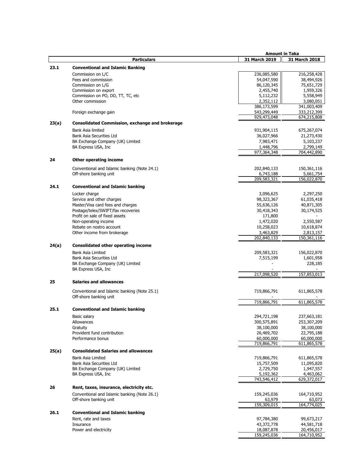|       |                                                        |                          | <b>Amount in Taka</b>     |
|-------|--------------------------------------------------------|--------------------------|---------------------------|
|       | <b>Particulars</b>                                     | 31 March 2019            | 31 March 2018             |
| 23.1  | <b>Conventional and Islamic Banking</b>                |                          |                           |
|       |                                                        |                          |                           |
|       | Commission on L/C                                      | 236,085,580              | 216,258,428               |
|       | Fees and commission                                    | 54,047,590               | 38,494,926                |
|       | Commission on L/G<br>Commission on export              | 86,120,345               | 75,651,729                |
|       | Commission on PO, DD, TT, TC, etc                      | 2,455,740                | 1,959,326                 |
|       | Other commission                                       | 5,112,232<br>2,352,112   | 5,558,949<br>3,080,051    |
|       |                                                        | 386,173,599              | 341,003,409               |
|       | Foreign exchange gain                                  | 543,299,449              | 333,212,399               |
|       |                                                        | 929,473,048              | 674,215,808               |
| 23(a) | <b>Consolidated Commission, exchange and brokerage</b> |                          |                           |
|       | Bank Asia limited                                      |                          |                           |
|       | Bank Asia Securities Ltd                               | 931,904,115              | 675,267,074               |
|       | BA Exchange Company (UK) Limited                       | 36,027,966<br>7,983,471  | 21,273,430<br>5,103,237   |
|       | BA Express USA, Inc                                    | 1,448,796                | 2,799,149                 |
|       |                                                        | 977,364,348              | 704,442,890               |
|       |                                                        |                          |                           |
| 24    | <b>Other operating income</b>                          |                          |                           |
|       | Conventional and Islamic banking (Note 24.1)           | 202,840,133              | 150,361,116               |
|       | Off-shore banking unit                                 | 6,743,188                | 5,661,754                 |
|       |                                                        | 209,583,321              | 156,022,870               |
| 24.1  | <b>Conventional and Islamic banking</b>                |                          |                           |
|       |                                                        |                          |                           |
|       | Locker charge<br>Service and other charges             | 3,096,625<br>98,323,367  | 2,297,250<br>61,035,418   |
|       | Master/Visa card fees and charges                      |                          |                           |
|       | Postage/telex/SWIFT/fax recoveries                     | 55,636,126<br>30,418,343 | 40,871,305                |
|       | Profit on sale of fixed assets                         | 171,800                  | 30,174,525                |
|       | Non-operating income                                   | 1,472,020                | 2,550,587                 |
|       | Rebate on nostro account                               | 10,258,023               | 10,618,874                |
|       | Other income from brokerage                            | 3,463,829                | 2,813,157                 |
|       |                                                        | 202,840,133              | 150,361,116               |
|       | <b>Consolidated other operating income</b>             |                          |                           |
| 24(a) |                                                        |                          |                           |
|       | <b>Bank Asia Limited</b>                               | 209,583,321              | 156,022,870               |
|       | Bank Asia Securities Ltd                               | 7,515,199                | 1,601,958                 |
|       | BA Exchange Company (UK) Limited                       |                          | 228,185                   |
|       | BA Express USA, Inc.                                   | 217,098,520              | 157,853,013               |
|       |                                                        |                          |                           |
| 25    | <b>Salaries and allowances</b>                         |                          |                           |
|       | Conventional and Islamic banking (Note 25.1)           | 719,866,791              | 611,865,578               |
|       | Off-shore banking unit                                 |                          |                           |
|       |                                                        | 719,866,791              | 611,865,578               |
| 25.1  | <b>Conventional and Islamic banking</b>                |                          |                           |
|       |                                                        |                          |                           |
|       | Basic salary                                           | 294,721,198              | 237,663,181               |
|       | Allowances                                             | 300,575,891              | 253,307,209<br>38,100,000 |
|       | Gratuity<br>Provident fund contribution                | 38,100,000<br>26,469,702 | 22,795,188                |
|       | Performance bonus                                      | 60,000,000               | 60,000,000                |
|       |                                                        | 719,866,791              | 611,865,578               |
|       | <b>Consolidated Salaries and allowances</b>            |                          |                           |
| 25(a) |                                                        |                          |                           |
|       | <b>Bank Asia Limited</b>                               | 719,866,791              | 611,865,578               |
|       | Bank Asia Securities Ltd                               | 15,757,509               | 11,095,820                |
|       | BA Exchange Company (UK) Limited                       | 2,729,750                | 1,947,557                 |
|       | BA Express USA, Inc.                                   | 5,192,362<br>743,546,412 | 4,463,062<br>629,372,017  |
|       |                                                        |                          |                           |
| 26    | Rent, taxes, insurance, electricity etc.               |                          |                           |
|       | Conventional and Islamic banking (Note 26.1)           | 159,245,036              | 164,710,952               |
|       | Off-shore banking unit                                 | 63,979                   | 63,073                    |
|       |                                                        | 159,309,015              | 164,774,025               |
| 26.1  | <b>Conventional and Islamic banking</b>                |                          |                           |
|       | Rent, rate and taxes                                   | 97,784,380               | 99,673,217                |
|       | Insurance                                              | 43,372,778               | 44,581,718                |
|       | Power and electricity                                  | 18,087,878               | 20,456,017                |
|       |                                                        | 159,245,036              | 164,710,952               |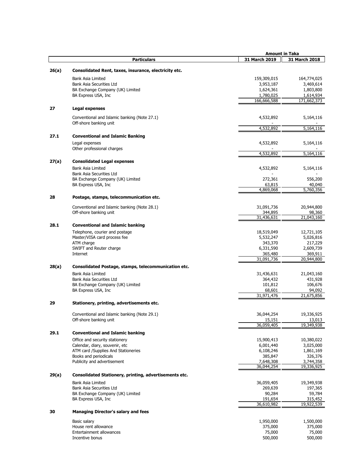|       |                                                          |                       | <b>Amount in Taka</b> |
|-------|----------------------------------------------------------|-----------------------|-----------------------|
|       | <b>Particulars</b>                                       | 31 March 2019         | 31 March 2018         |
|       |                                                          |                       |                       |
| 26(a) | Consolidated Rent, taxes, insurance, electricity etc.    |                       |                       |
|       | Bank Asia Limited                                        | 159,309,015           | 164,774,025           |
|       | Bank Asia Securities Ltd                                 | 3,953,187             | 3,469,614             |
|       | BA Exchange Company (UK) Limited                         | 1,624,361             | 1,803,800             |
|       | BA Express USA, Inc.                                     | 1,780,025             | 1,614,934             |
|       |                                                          | 166,666,588           | 171,662,373           |
| 27    | Legal expenses                                           |                       |                       |
|       | Conventional and Islamic banking (Note 27.1)             | 4,532,892             | 5,164,116             |
|       | Off-shore banking unit                                   |                       |                       |
|       |                                                          | 4,532,892             | 5,164,116             |
| 27.1  | <b>Conventional and Islamic Banking</b>                  |                       |                       |
|       | Legal expenses                                           | 4,532,892             | 5,164,116             |
|       | Other professional charges                               |                       |                       |
|       |                                                          | 4,532,892             | 5,164,116             |
| 27(a) | <b>Consolidated Legal expenses</b>                       |                       |                       |
|       | Bank Asia Limited                                        | 4,532,892             | 5,164,116             |
|       | Bank Asia Securities Ltd                                 |                       |                       |
|       | BA Exchange Company (UK) Limited                         | 272,361               | 556,200               |
|       | BA Express USA, Inc                                      | 63,815                | 40,040                |
|       |                                                          | 4,869,068             | 5,760,356             |
| 28    | Postage, stamps, telecommunication etc.                  |                       |                       |
|       |                                                          |                       |                       |
|       | Conventional and Islamic banking (Note 28.1)             | 31,091,736            | 20,944,800            |
|       | Off-shore banking unit                                   | 344,895<br>31,436,631 | 98,360<br>21,043,160  |
|       |                                                          |                       |                       |
| 28.1  | <b>Conventional and Islamic banking</b>                  |                       |                       |
|       | Telephone, courier and postage                           | 18,519,049            | 12,721,105            |
|       | Master/VISA card process fee<br>ATM charge               | 5,532,247<br>343,370  | 5,026,816<br>217,229  |
|       | SWIFT and Reuter charge                                  | 6,331,590             | 2,609,739             |
|       | Internet                                                 | 365,480               | 369,911               |
|       |                                                          | 31,091,736            | 20,944,800            |
| 28(a) | Consolidated Postage, stamps, telecommunication etc.     |                       |                       |
|       | Bank Asia Limited                                        | 31,436,631            | 21,043,160            |
|       | Bank Asia Securities Ltd                                 | 364,432               | 431,928               |
|       | BA Exchange Company (UK) Limited                         | 101,812               | 106,676               |
|       | BA Express USA, Inc.                                     | 68,601                | 94,092                |
|       |                                                          | 31,971,476            | 21,675,856            |
| 29    | Stationery, printing, advertisements etc.                |                       |                       |
|       |                                                          |                       |                       |
|       | Conventional and Islamic banking (Note 29.1)             | 36,044,254            | 19,336,925            |
|       | Off-shore banking unit                                   | 15,151                | 13,013                |
|       |                                                          | 36,059,405            | 19,349,938            |
| 29.1  | <b>Conventional and Islamic banking</b>                  |                       |                       |
|       | Office and security stationery                           | 15,900,413            | 10,380,022            |
|       | Calendar, diary, souvenir, etc                           | 6,001,440             | 3,025,000             |
|       | ATM card /Supplies And Stationeries                      | 6,108,246             | 1,861,169             |
|       | Books and periodicals<br>Publicity and advertisement     | 385,847<br>7,648,308  | 326,376<br>3,744,358  |
|       |                                                          | 36,044,254            | 19,336,925            |
|       |                                                          |                       |                       |
| 29(a) | Consolidated Stationery, printing, advertisements etc.   |                       |                       |
|       | <b>Bank Asia Limited</b>                                 | 36,059,405            | 19,349,938            |
|       | Bank Asia Securities Ltd                                 | 269,639               | 197,365               |
|       | BA Exchange Company (UK) Limited<br>BA Express USA, Inc. | 90,284<br>191,654     | 59,784<br>315,452     |
|       |                                                          | 36,610,982            | 19,922,539            |
| 30    | <b>Managing Director's salary and fees</b>               |                       |                       |
|       |                                                          |                       |                       |
|       | Basic salary                                             | 1,950,000             | 1,500,000             |
|       | House rent allowance                                     | 375,000               | 375,000               |
|       | Entertainment allowances                                 | 75,000                | 75,000                |
|       | Incentive bonus                                          | 500,000               | 500,000               |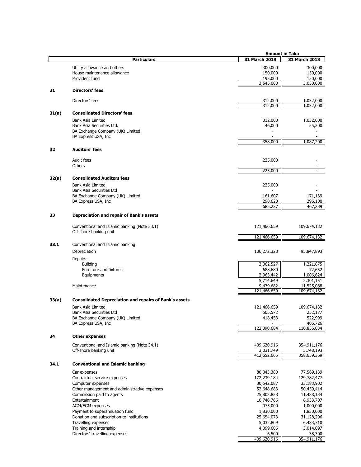|       |                                                               | <b>Amount in Taka</b>  |                        |
|-------|---------------------------------------------------------------|------------------------|------------------------|
|       | <b>Particulars</b>                                            | 31 March 2019          | 31 March 2018          |
|       | Utility allowance and others                                  | 300,000                | 300,000                |
|       | House maintenance allowance                                   | 150,000                | 150,000                |
|       | Provident fund                                                | 195,000                | 150,000                |
|       |                                                               | 3,545,000              | 3,050,000              |
| 31    | <b>Directors' fees</b>                                        |                        |                        |
|       |                                                               |                        |                        |
|       | Directors' fees                                               | 312,000<br>312,000     | 1,032,000<br>1,032,000 |
|       |                                                               |                        |                        |
| 31(a) | <b>Consolidated Directors' fees</b>                           |                        |                        |
|       | Bank Asia Limited                                             | 312,000                | 1,032,000              |
|       | Bank Asia Securities Ltd.<br>BA Exchange Company (UK) Limited | 46,000                 | 55,200                 |
|       | BA Express USA, Inc.                                          | 358,000                | 1,087,200              |
| 32    | <b>Auditors' fees</b>                                         |                        |                        |
|       | Audit fees                                                    | 225,000                |                        |
|       | Others                                                        |                        |                        |
|       |                                                               | 225,000                |                        |
| 32(a) | <b>Consolidated Auditors fees</b>                             |                        |                        |
|       | Bank Asia Limited                                             | 225,000                |                        |
|       | Bank Asia Securities Ltd                                      |                        |                        |
|       | BA Exchange Company (UK) Limited<br>BA Express USA, Inc       | 161,607<br>298,620     | 171,139<br>296,100     |
|       |                                                               | 685,227                | 467,239                |
| 33    | Depreciation and repair of Bank's assets                      |                        |                        |
|       |                                                               |                        |                        |
|       | Conventional and Islamic banking (Note 33.1)                  | 121,466,659            | 109,674,132            |
|       | Off-shore banking unit                                        | 121,466,659            | 109,674,132            |
| 33.1  | Conventional and Islamic banking                              |                        |                        |
|       | Depreciation                                                  | 106,272,328            | 95,847,893             |
|       | Repairs:                                                      |                        |                        |
|       | <b>Building</b>                                               | 2,062,527              | 1,221,875              |
|       | Furniture and fixtures                                        | 688,680                | 72,652                 |
|       | Equipments                                                    | 2,963,442              | 1,006,624              |
|       |                                                               | 5,714,649              | 2,301,151              |
|       | Maintenance                                                   | 9,479,682              | 11,525,088             |
|       |                                                               | 121,466,659            | 109,674,132            |
| 33(a) | <b>Consolidated Depreciation and repairs of Bank's assets</b> |                        |                        |
|       | <b>Bank Asia Limited</b>                                      | 121,466,659            | 109,674,132            |
|       | Bank Asia Securities Ltd                                      | 505,572                | 252,177                |
|       | BA Exchange Company (UK) Limited                              | 418,453                | 522,999                |
|       | BA Express USA, Inc.                                          |                        | 406,726                |
|       |                                                               | 122,390,684            | 110,856,034            |
| 34    | <b>Other expenses</b>                                         |                        |                        |
|       | Conventional and Islamic banking (Note 34.1)                  | 409,620,916            | 354,911,176            |
|       | Off-shore banking unit                                        | 3,031,749              | 3,748,193              |
|       |                                                               | 412,652,665            | 358,659,369            |
| 34.1  | <b>Conventional and Islamic banking</b>                       |                        |                        |
|       | Car expenses                                                  | 80,043,380             | 77,569,139             |
|       | Contractual service expenses                                  | 172,239,184            | 129,782,477            |
|       | Computer expenses                                             | 30,542,087             | 33,183,902             |
|       | Other management and administrative expenses                  | 52,648,683             | 50,459,414             |
|       | Commission paid to agents                                     | 25,802,828             | 11,488,134             |
|       | Entertainment                                                 | 10,746,766             | 8,933,707              |
|       | AGM/EGM expenses                                              | 975,000                | 1,000,000              |
|       | Payment to superannuation fund                                | 1,830,000              | 1,830,000              |
|       | Donation and subscription to institutions                     | 25,654,073             | 31,128,296             |
|       | Travelling expenses<br>Training and internship                | 5,032,809<br>4,099,606 | 6,483,710<br>3,014,097 |
|       | Directors' travelling expenses                                | 6,500                  | 38,300                 |
|       |                                                               | 409,620,916            | 354,911,176            |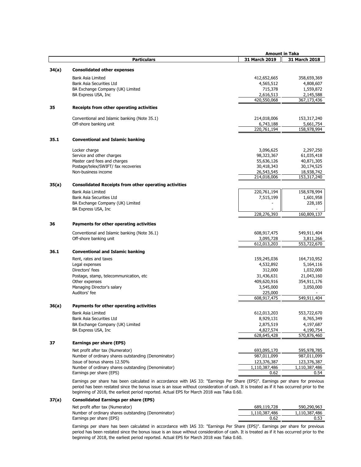|       |                                                                                                                               |               | <b>Amount in Taka</b> |  |
|-------|-------------------------------------------------------------------------------------------------------------------------------|---------------|-----------------------|--|
|       | <b>Particulars</b>                                                                                                            | 31 March 2019 | 31 March 2018         |  |
|       | <b>Consolidated other expenses</b>                                                                                            |               |                       |  |
| 34(a) |                                                                                                                               |               |                       |  |
|       | Bank Asia Limited                                                                                                             | 412,652,665   | 358,659,369           |  |
|       | Bank Asia Securities Ltd                                                                                                      | 4,565,512     | 4,808,607             |  |
|       | BA Exchange Company (UK) Limited                                                                                              | 715,378       | 1,559,872             |  |
|       | BA Express USA, Inc.                                                                                                          | 2,616,513     | 2,145,588             |  |
|       |                                                                                                                               | 420,550,068   | 367,173,436           |  |
| 35    | Receipts from other operating activities                                                                                      |               |                       |  |
|       | Conventional and Islamic banking (Note 35.1)                                                                                  | 214,018,006   | 153,317,240           |  |
|       | Off-shore banking unit                                                                                                        | 6,743,188     | 5,661,754             |  |
|       |                                                                                                                               | 220,761,194   | 158,978,994           |  |
| 35.1  | <b>Conventional and Islamic banking</b>                                                                                       |               |                       |  |
|       | Locker charge                                                                                                                 | 3,096,625     | 2,297,250             |  |
|       | Service and other charges                                                                                                     | 98,323,367    | 61,035,418            |  |
|       | Master card fees and charges                                                                                                  | 55,636,126    | 40,871,305            |  |
|       | Postage/telex/SWIFT/ fax recoveries                                                                                           | 30,418,343    | 30,174,525            |  |
|       | Non-business income                                                                                                           | 26,543,545    | 18,938,742            |  |
|       |                                                                                                                               | 214,018,006   | 153,317,240           |  |
| 35(a) | <b>Consolidated Receipts from other operating activities</b>                                                                  |               |                       |  |
|       |                                                                                                                               |               |                       |  |
|       | Bank Asia Limited                                                                                                             | 220,761,194   | 158,978,994           |  |
|       | Bank Asia Securities Ltd                                                                                                      | 7,515,199     | 1,601,958             |  |
|       | BA Exchange Company (UK) Limited                                                                                              |               | 228,185               |  |
|       | BA Express USA, Inc.                                                                                                          |               |                       |  |
|       |                                                                                                                               | 228,276,393   | 160,809,137           |  |
| 36    | Payments for other operating activities                                                                                       |               |                       |  |
|       | Conventional and Islamic banking (Note 36.1)                                                                                  | 608,917,475   | 549,911,404           |  |
|       | Off-shore banking unit                                                                                                        | 3,095,728     | 3,811,266             |  |
|       |                                                                                                                               | 612,013,203   | 553,722,670           |  |
| 36.1  | <b>Conventional and Islamic banking</b>                                                                                       |               |                       |  |
|       | Rent, rates and taxes                                                                                                         | 159,245,036   | 164,710,952           |  |
|       | Legal expenses                                                                                                                | 4,532,892     | 5,164,116             |  |
|       | Directors' fees                                                                                                               | 312,000       | 1,032,000             |  |
|       | Postage, stamp, telecommunication, etc                                                                                        | 31,436,631    | 21,043,160            |  |
|       | Other expenses                                                                                                                | 409,620,916   | 354,911,176           |  |
|       | Managing Director's salary                                                                                                    | 3,545,000     | 3,050,000             |  |
|       | Auditors' fee                                                                                                                 | 225,000       |                       |  |
|       |                                                                                                                               | 608,917,475   | 549,911,404           |  |
| 36(a) | Payments for other operating activities                                                                                       |               |                       |  |
|       | <b>Bank Asia Limited</b>                                                                                                      | 612,013,203   | 553,722,670           |  |
|       | Bank Asia Securities Ltd                                                                                                      | 8,929,131     | 8,765,349             |  |
|       | BA Exchange Company (UK) Limited                                                                                              | 2,875,519     | 4,197,687             |  |
|       | BA Express USA, Inc.                                                                                                          | 4,827,574     | 4,190,754             |  |
|       |                                                                                                                               | 628,645,428   | 570,876,460           |  |
| 37    | Earnings per share (EPS)                                                                                                      |               |                       |  |
|       | Net profit after tax (Numerator)                                                                                              | 693,095,170   | 595,978,785           |  |
|       | Number of ordinary shares outstanding (Denominator)                                                                           | 987,011,099   | 987,011,099           |  |
|       | Issue of bonus shares 12.50%                                                                                                  | 123,376,387   | 123,376,387           |  |
|       | Number of ordinary shares outstanding (Denominator)                                                                           | 1,110,387,486 | 1,110,387,486         |  |
|       | Earnings per share (EPS)                                                                                                      | 0.62          | 0.54                  |  |
|       | Earnings per share has been calculated in accordance with IAS 33: "Earnings Per Share (EPS)". Earnings per share for previous |               |                       |  |

period has been restated since the bonus issue is an issue without consideration of cash. It is treated as if it has occurred prior to the beginning of 2018, the earliest period reported. Actual EPS for March 2018 was Taka 0.60.

### **37(a) Consolidated Earnings per share (EPS)**

| Net profit after tax (Numerator)                    | 689,119,728   | 590,290,963   |
|-----------------------------------------------------|---------------|---------------|
| Number of ordinary shares outstanding (Denominator) | 1,110,387,486 | 1,110,387,486 |
| Earnings per share (EPS)                            | 0.62          | 0.53          |

Earnings per share has been calculated in accordance with IAS 33: "Earnings Per Share (EPS)". Earnings per share for previous period has been restated since the bonus issue is an issue without consideration of cash. It is treated as if it has occurred prior to the beginning of 2018, the earliest period reported. Actual EPS for March 2018 was Taka 0.60.